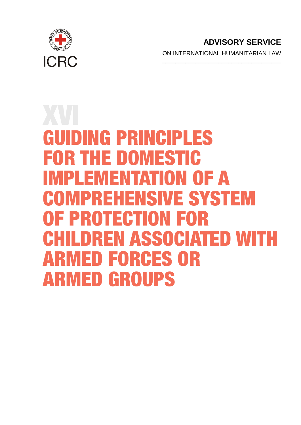

\_\_\_\_\_\_\_\_\_\_\_\_\_\_\_\_\_\_\_\_\_\_\_\_\_\_\_\_\_\_\_\_\_\_\_\_

**AMECTI FOR THE DOMESTIC IMPLEMENTATION OF A of the Emblem of the Red Cross, Red Crescent and Red Crystal** XVI Guiding Principles Comprehensive System of Protection for Children Associated with Armed Forces or Armed Groups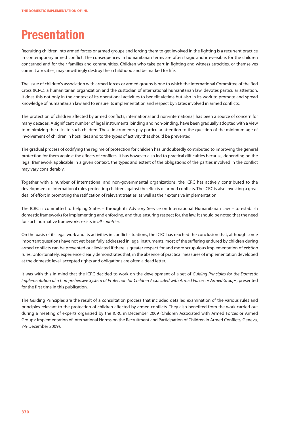# **Presentation**

Recruiting children into armed forces or armed groups and forcing them to get involved in the fighting is a recurrent practice in contemporary armed conflict. The consequences in humanitarian terms are often tragic and irreversible, for the children concerned and for their families and communities. Children who take part in fighting and witness atrocities, or themselves commit atrocities, may unwittingly destroy their childhood and be marked for life.

The issue of children's association with armed forces or armed groups is one to which the International Committee of the Red Cross (ICRC), a humanitarian organization and the custodian of international humanitarian law, devotes particular attention. It does this not only in the context of its operational activities to benefit victims but also in its work to promote and spread knowledge of humanitarian law and to ensure its implementation and respect by States involved in armed conflicts.

The protection of children affected by armed conflicts, international and non-international, has been a source of concern for many decades. A significant number of legal instruments, binding and non-binding, have been gradually adopted with a view to minimizing the risks to such children. These instruments pay particular attention to the question of the minimum age of involvement of children in hostilities and to the types of activity that should be prevented.

The gradual process of codifying the regime of protection for children has undoubtedly contributed to improving the general protection for them against the effects of conflicts. It has however also led to practical difficulties because, depending on the legal framework applicable in a given context, the types and extent of the obligations of the parties involved in the conflict may vary considerably.

Together with a number of international and non-governmental organizations, the ICRC has actively contributed to the development of international rules protecting children against the effects of armed conflicts. The ICRC is also investing a great deal of effort in promoting the ratification of relevant treaties, as well as their extensive implementation.

The ICRC is committed to helping States – through its Advisory Service on International Humanitarian Law – to establish domestic frameworks for implementing and enforcing, and thus ensuring respect for, the law. It should be noted that the need for such normative frameworks exists in *all countries*.

On the basis of its legal work and its activities in conflict situations, the ICRC has reached the conclusion that, although some important questions have not yet been fully addressed in legal instruments, most of the suffering endured by children during armed conflicts can be prevented or alleviated if there is greater respect for and more scrupulous implementation of *existing* rules. Unfortunately, experience clearly demonstrates that, in the absence of practical measures of implementation developed at the domestic level, accepted rights and obligations are often a dead letter.

It was with this in mind that the ICRC decided to work on the development of a set of *Guiding Principles for the Domestic Implementation of a Comprehensive System of Protection for Children Associated with Armed Forces or Armed Groups*, presented for the first time in this publication.

The Guiding Principles are the result of a consultation process that included detailed examination of the various rules and principles relevant to the protection of children affected by armed conflicts. They also benefited from the work carried out during a meeting of experts organized by the ICRC in December 2009 (Children Associated with Armed Forces or Armed Groups: Implementation of International Norms on the Recruitment and Participation of Children in Armed Conflicts, Geneva, 7-9 December 2009).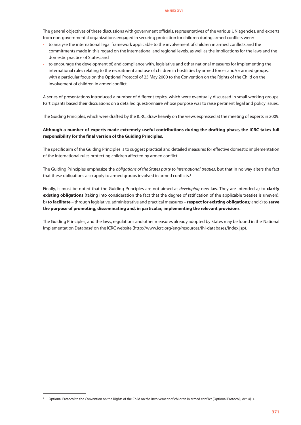The general objectives of these discussions with government officials, representatives of the various UN agencies, and experts from non-governmental organizations engaged in securing protection for children during armed conflicts were:

- to analyse the international legal framework applicable to the involvement of children in armed conflicts and the commitments made in this regard on the international and regional levels, as well as the implications for the laws and the domestic practice of States; and
- to encourage the development of, and compliance with, legislative and other national measures for implementing the international rules relating to the recruitment and use of children in hostilities by armed forces and/or armed groups, with a particular focus on the Optional Protocol of 25 May 2000 to the Convention on the Rights of the Child on the involvement of children in armed conflict.

A series of presentations introduced a number of different topics, which were eventually discussed in small working groups. Participants based their discussions on a detailed questionnaire whose purpose was to raise pertinent legal and policy issues.

The Guiding Principles, which were drafted by the ICRC, draw heavily on the views expressed at the meeting of experts in 2009.

# **Although a number of experts made extremely useful contributions during the drafting phase, the ICRC takes full responsibility for the final version of the Guiding Principles.**

The specific aim of the Guiding Principles is to suggest practical and detailed measures for effective domestic implementation of the international rules protecting children affected by armed conflict.

The Guiding Principles emphasize the *obligations of the States party to international treaties*, but that in no way alters the fact that these obligations also apply to armed groups involved in armed conflicts.<sup>1</sup>

Finally, it must be noted that the Guiding Principles are not aimed at *developing* new law. They are intended a) to **clarify existing obligations** (taking into consideration the fact that the degree of ratification of the applicable treaties is uneven); b) **to facilitate** – through legislative, administrative and practical measures – **respect for existing obligations;** and c) to **serve the purpose of promoting, disseminating and, in particular, implementing the relevant provisions**.

The Guiding Principles, and the laws, regulations and other measures already adopted by States may be found in the 'National Implementation Database' on the ICRC website (http://www.icrc.org/eng/resources/ihl-databases/index.jsp).

<sup>1</sup> Optional Protocol to the Convention on the Rights of the Child on the involvement of children in armed conflict (Optional Protocol), Art. 4(1).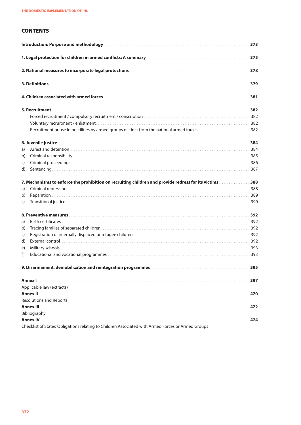# **CONTENTS**

|    | Introduction: Purpose and methodology                                                                                                                                                                                          | 373 |
|----|--------------------------------------------------------------------------------------------------------------------------------------------------------------------------------------------------------------------------------|-----|
|    | 1. Legal protection for children in armed conflicts: A summary [1996] [1996] [1996] [1996] [1996] [1996] [1996] [1996] [1996] [1996] [1996] [1996] [1996] [1996] [1996] [1996] [1996] [1996] [1996] [1996] [1996] [1996] [1996 | 375 |
|    | 2. National measures to incorporate legal protections manufactured and continuum and continuum and continuum                                                                                                                   | 378 |
|    |                                                                                                                                                                                                                                | 379 |
|    |                                                                                                                                                                                                                                | 381 |
|    |                                                                                                                                                                                                                                | 382 |
|    |                                                                                                                                                                                                                                |     |
|    |                                                                                                                                                                                                                                |     |
|    |                                                                                                                                                                                                                                |     |
|    |                                                                                                                                                                                                                                | 384 |
| a) | Arrest and detention material contracts and states are all the states of the states of the states of the states of the states of the states of the states of the states of the states of the states of the states of the state |     |
| b) |                                                                                                                                                                                                                                |     |
| C) |                                                                                                                                                                                                                                |     |
| d) |                                                                                                                                                                                                                                |     |
|    | 7. Mechanisms to enforce the prohibition on recruiting children and provide redress for its victims.                                                                                                                           | 388 |
| a) |                                                                                                                                                                                                                                |     |
| b) |                                                                                                                                                                                                                                |     |
| C) |                                                                                                                                                                                                                                |     |
|    |                                                                                                                                                                                                                                | 392 |
| a) |                                                                                                                                                                                                                                |     |
| b) |                                                                                                                                                                                                                                |     |
| C) |                                                                                                                                                                                                                                |     |
| d) |                                                                                                                                                                                                                                |     |
| e) |                                                                                                                                                                                                                                |     |
| f) |                                                                                                                                                                                                                                | 393 |
|    | 9. Disarmament, demobilization and reintegration programmes                                                                                                                                                                    | 395 |
|    | Annex I.                                                                                                                                                                                                                       | 397 |
|    | Applicable law (extracts)                                                                                                                                                                                                      |     |
|    | Annex II.                                                                                                                                                                                                                      | 420 |
|    | <b>Resolutions and Reports</b>                                                                                                                                                                                                 |     |
|    | <b>Annex III</b>                                                                                                                                                                                                               | 422 |
|    | Bibliography<br><b>Annex IV</b>                                                                                                                                                                                                | 424 |
|    | Checklist of States' Obligations relating to Children Associated with Armed Forces or Armed Groups                                                                                                                             |     |
|    |                                                                                                                                                                                                                                |     |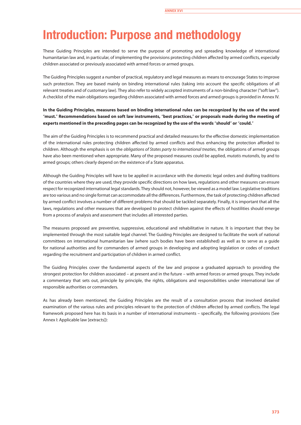# **Introduction: Purpose and methodology**

These Guiding Principles are intended to serve the purpose of promoting and spreading knowledge of international humanitarian law and, in particular, of implementing the provisions protecting children affected by armed conflicts, especially children associated or previously associated with armed forces or armed groups.

The Guiding Principles suggest a number of practical, regulatory and legal measures as means to encourage States to improve such protection. They are based mainly on binding international rules (taking into account the specific obligations of all relevant treaties and of customary law). They also refer to widely accepted instruments of a non-binding character ("soft law"). A checklist of the main obligations regarding children associated with armed forces and armed groups is provided in Annex IV.

# **In the Guiding Principles, measures based on binding international rules can be recognized by the use of the word**  "**must.**" **Recommendations based on soft law instruments,** "**best practices,**" **or proposals made during the meeting of experts mentioned in the preceding pages can be recognized by the use of the words** "**should**" **or** "**could.**"

The aim of the Guiding Principles is to recommend practical and detailed measures for the effective domestic implementation of the international rules protecting children affected by armed conflicts and thus enhancing the protection afforded to children. Although the emphasis is on the *obligations of States party to international treaties*, the obligations of armed groups have also been mentioned when appropriate. Many of the proposed measures could be applied, *mutatis mutandis*, by and to armed groups; others clearly depend on the existence of a State apparatus.

Although the Guiding Principles will have to be applied in accordance with the domestic legal orders and drafting traditions of the countries where they are used, they provide specific directions on how laws, regulations and other measures can ensure respect for recognized international legal standards. They should not, however, be viewed as a model law. Legislative traditions are too various and no single format can accommodate all the differences. Furthermore, the task of protecting children affected by armed conflict involves a number of different problems that should be tackled separately. Finally, it is important that all the laws, regulations and other measures that are developed to protect children against the effects of hostilities should emerge from a process of analysis and assessment that includes all interested parties.

The measures proposed are preventive, suppressive, educational and rehabilitative in nature. It is important that they be implemented through the most suitable legal channel. The Guiding Principles are designed to facilitate the work of national committees on international humanitarian law (where such bodies have been established) as well as to serve as a guide for national authorities and for commanders of armed groups in developing and adopting legislation or codes of conduct regarding the recruitment and participation of children in armed conflict.

The Guiding Principles cover the fundamental aspects of the law and propose a graduated approach to providing the strongest protection for children associated – at present and in the future – with armed forces or armed groups. They include a commentary that sets out, principle by principle, the rights, obligations and responsibilities under international law of responsible authorities or commanders.

As has already been mentioned, the Guiding Principles are the result of a consultation process that involved detailed examination of the various rules and principles relevant to the protection of children affected by armed conflicts. The legal framework proposed here has its basis in a number of international instruments – specifically, the following provisions (See Annex I: Applicable law [extracts]):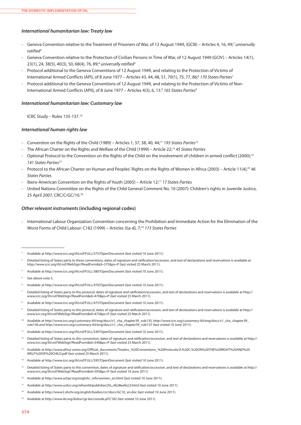# *International humanitarian law: Treaty law*

- • Geneva Convention relative to the Treatment of Prisoners of War, of 12 August 1949, (GCIII) Articles 4, 16, 49;2 *universally ratified3*
- Geneva Convention relative to the Protection of Civilian Persons in Time of War, of 12 August 1949 (GCIV) Articles 14(1), 23(1), 24, 38(5), 40(3), 50, 68(4), 76, 89;4 *universally ratified5*
- Protocol additional to the Geneva Conventions of 12 August 1949, and relating to the Protection of Victims of International Armed Conflicts (API), of 8 June 1977 – Articles 43, 44, 48, 51, 70(1), 75, 77, 86;<sup>6</sup> 170 States Parties<sup>7</sup>
- Protocol additional to the Geneva Conventions of 12 August 1949, and relating to the Protection of Victims of Non-International Armed Conflicts (APII), of 8 June 1977 – Articles 4(3), 6, 13.8 *165 States Parties9*

# *International humanitarian law: Customary law*

ICRC Study – Rules 135-137.10

# *International human rights law*

- • Convention on the Rights of the Child (1989) Articles 1, 37, 38, 40, 44;11 *193 States Parties12*
- The African Charter on the Rights and Welfare of the Child (1999) Article 22;<sup>13</sup> 45 States Parties
- Optional Protocol to the Convention on the Rights of the Child on the involvement of children in armed conflict (2000);<sup>14</sup> *141 States Parties15*
- Protocol to the African Charter on Human and Peoples' Rights on the Rights of Women in Africa (2003) Article 11(4);<sup>16</sup> 46 *States Parties*
- Ibero-American Convention on the Rights of Youth (2005) Article 12;<sup>17</sup> 17 States Parties
- United Nations Committee on the Rights of the Child General Comment No. 10 (2007): Children's rights in Juvenile Justice, 25 April 2007, CRC/C/GC/10.18

# *Other relevant instruments* **(including regional codes)**

International Labour Organization Convention concerning the Prohibition and Immediate Action for the Elimination of the Worst Forms of Child Labour: C182 (1999) – Articles 3(a-d), 7;19 *173 States Parties*

- Detailed listing of States party to these conventions, dates of signature and ratification/accession, and text of declarations and reservations is available at http://www.icrc.org/ihl.nsf/WebSign?ReadForm&id=375&ps=P (last visited 25 March 2011).
- <sup>4</sup> Available at http://www.icrc.org/ihl.nsf/FULL/380?OpenDocument (last visited 10 June 2011).
- <sup>5</sup> See above note 3.
- <sup>6</sup> Available at http://www.icrc.org/ihl.nsf/FULL/470?OpenDocument (last visited 10 June 2011).
- Detailed listing of States party to this protocol, dates of signature and ratification/accession, and text of declarations and reservations is available at http:// www.icrc.org/ihl.nsf/WebSign?ReadForm&id=470&ps=P (last visited 25 March 2011).

- Detailed listing of States party to this protocol, dates of signature and ratification/accession, and text of declarations and reservations is available at http:// www.icrc.org/ihl.nsf/WebSign?ReadForm&id=475&ps=P (last visited 25 March 2011).
- <sup>10</sup> Available at http://www.icrc.org/customary-ihl/eng/docs/v1\_cha\_chapter39\_rule135, http://www.icrc.org/customary-ihl/eng/docs/v1\_cha\_chapter39\_ rule136 and http://www.icrc.org/customary-ihl/eng/docs/v1\_cha\_chapter39\_rule137 (last visited 10 June 2011).
- <sup>11</sup> Available at http://www.icrc.org/ihl.nsf/FULL/540?OpenDocument (last visited 10 June 2011).
- <sup>12</sup> Detailed listing of States party to this convention, dates of signature and ratification/accession, and text of declarations and reservations is available at http:// www.icrc.org/ihl.nsf/WebSign?ReadForm&id=540&ps=P (last visited 25 March 2011).
- <sup>13</sup> Available at http://www.africa-union.org/Official\_documents/Treaties\_%20Conventions\_%20Protocols/A.%20C.%20ON%20THE%20RIGHT%20AND%20 WELF%20OF%20CHILD.pdf (last visited 25 March 2011).
- <sup>14</sup> Available at http://www.icrc.org/ihl.nsf/FULL/595?OpenDocument (last visited 10 June 2011).
- Detailed listing of States party to this convention, dates of signature and ratification/accession, and text of declarations and reservations is available at http:// www.icrc.org/ihl.nsf/WebSign?ReadForm&id=595&ps=P (last visited 10 June 2011).
- <sup>16</sup> Available at http://www.achpr.org/english/\_info/women\_en.html (last visited 10 June 2011).
- <sup>17</sup> Available at http://www.unhcr.org/refworld/publisher,OIJ,,,4b28eefe2,0.html (last visited 10 June 2011).
- <sup>18</sup> Available at http://www2.ohchr.org/english/bodies/crc/docs/GC10\_en.doc (last visited 10 June 2011).
- <sup>19</sup> Available at http://www.ilo.org/ilolex/cgi-lex/convde.pl?C182 (last visited 10 June 2011).

<sup>2</sup> Available at http://www.icrc.org/ihl.nsf/FULL/375?OpenDocument (last visited 10 June 2011).

<sup>8</sup> Available at http://www.icrc.org/ihl.nsf/FULL/475?OpenDocument (last visited 10 June 2011).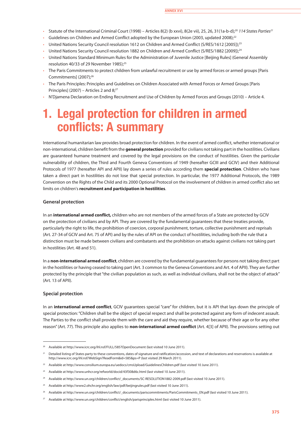**annex XVI**

- • Statute of the International Criminal Court (1998) Articles 8(2) (b xxvi), 8(2e vii), 25, 26, 31(1a-b-d);20 *114 States Parties21*
- Guidelines on Children and Armed Conflict adopted by the European Union (2003, updated 2008);<sup>22</sup>
- United Nations Security Council resolution 1612 on Children and Armed Conflict (S/RES/1612 [2005]);<sup>23</sup>
- United Nations Security Council resolution 1882 on Children and Armed Conflict (S/RES/1882 [2009]);<sup>24</sup>
- United Nations Standard Minimum Rules for the Administration of Juvenile Justice [Beijing Rules] (General Assembly resolution 40/33 of 29 November 1985);25
- The Paris Commitments to protect children from unlawful recruitment or use by armed forces or armed groups [Paris Commitments] (2007);<sup>26</sup>
- The Paris Principles: Principles and Guidelines on Children Associated with Armed Forces or Armed Groups [Paris Principles] (2007) – Articles 2 and  $8;^{27}$
- • N'Djamena Declaration on Ending Recruitment and Use of Children by Armed Forces and Groups (2010) Article 4.

# **1. Legal protection for children in armed conflicts: A summary**

International humanitarian law provides broad protection for children. In the event of armed conflict, whether international or non-international, children benefit from the **general protection** provided for civilians not taking part in the hostilities. Civilians are guaranteed humane treatment and covered by the legal provisions on the conduct of hostilities. Given the particular vulnerability of children, the Third and Fourth Geneva Conventions of 1949 (hereafter GCIII and GCIV) and their Additional Protocols of 1977 (hereafter API and APII) lay down a series of rules according them **special protection**. Children who have taken a direct part in hostilities do not lose that special protection. In particular, the 1977 Additional Protocols, the 1989 Convention on the Rights of the Child and its 2000 Optional Protocol on the involvement of children in armed conflict also set limits on children's **recruitment and participation in hostilities**.

#### **General protection**

In an **international armed conflict,** children who are not members of the armed forces of a State are protected by GCIV on the protection of civilians and by API. They are covered by the fundamental guarantees that these treaties provide, particularly the right to life, the prohibition of coercion, corporal punishment, torture, collective punishment and reprisals (Art. 27-34 of GCIV and Art. 75 of API) and by the rules of API on the conduct of hostilities, including both the rule that a distinction must be made between civilians and combatants and the prohibition on attacks against civilians not taking part in hostilities (Art. 48 and 51).

In a **non-international armed conflict**, children are covered by the fundamental guarantees for persons not taking direct part in the hostilities or having ceased to taking part (Art. 3 common to the Geneva Conventions and Art. 4 of APII). They are further protected by the principle that "the civilian population as such, as well as individual civilians, shall not be the object of attack" (Art. 13 of APII).

### **Special protection**

In an **international armed conflict**, GCIV guarantees special "care" for children, but it is API that lays down the principle of special protection: "Children shall be the object of special respect and shall be protected against any form of indecent assault. The Parties to the conflict shall provide them with the care and aid they require, whether because of their age or for any other reason" (Art. 77). This principle also applies to **non-international armed conflict** (Art. 4[3] of APII). The provisions setting out

<sup>20</sup> Available at http://www.icrc.org/ihl.nsf/FULL/585?OpenDocument (last visited 10 June 2011).

<sup>21</sup> Detailed listing of States party to these conventions, dates of signature and ratification/accession, and text of declarations and reservations is available at http://www.icrc.org/ihl.nsf/WebSign?ReadForm&id=585&ps=P (last visited 29 March 2011).

<sup>22</sup> Available at http://www.consilium.europa.eu/uedocs/cmsUpload/GuidelinesChildren.pdf (last visited 10 June 2011).

<sup>&</sup>lt;sup>23</sup> Available at http://www.unhcr.org/refworld/docid/43f308d6c.html (last visited 10 June 2011).

<sup>24</sup> Available at http://www.un.org/children/conflict/\_documents/SC-RESOLUTION1882-2009.pdf (last visited 10 June 2011).

<sup>25</sup> Available at http://www2.ohchr.org/english/law/pdf/beijingrules.pdf (last visited 10 June 2011).

<sup>26</sup> Available at http://www.un.org/children/conflict/\_documents/pariscommitments/ParisCommitments\_EN.pdf (last visited 10 June 2011).

<sup>27</sup> Available at http://www.un.org/children/conflict/english/parisprinciples.html (last visited 10 June 2011).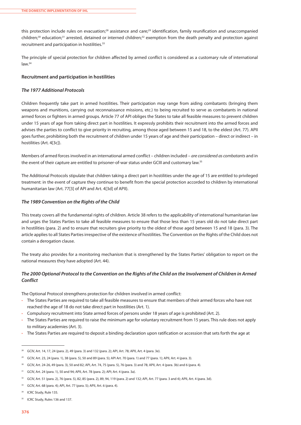this protection include rules on evacuation;<sup>28</sup> assistance and care;<sup>29</sup> identification, family reunification and unaccompanied  $children<sup>30</sup> education<sup>31</sup> arested, detailed or internal children<sup>32</sup> examination from the death penalty and protection against$ recruitment and participation in hostilities.<sup>33</sup>

The principle of special protection for children affected by armed conflict is considered as a customary rule of international  $l$ aw $^{34}$ 

## **Recruitment and participation in hostilities**

## *The 1977 Additional Protocols*

Children frequently take part in armed hostilities. Their participation may range from aiding combatants (bringing them weapons and munitions, carrying out reconnaissance missions, etc.) to being recruited to serve as combatants in national armed forces or fighters in armed groups. Article 77 of API obliges the States to take all feasible measures to prevent children under 15 years of age from taking direct part in hostilities. It expressly prohibits their recruitment into the armed forces and advises the parties to conflict to give priority in recruiting, among those aged between 15 and 18, to the eldest (Art. 77). APII goes further, prohibiting both the recruitment of children under 15 years of age and their participation – direct or indirect – in hostilities (Art. 4[3c]).

Members of armed forces involved in an international armed conflict – children included – *are considered as combatants* and in the event of their capture are entitled to prisoner-of-war status under GCIII and customary law.35

The Additional Protocols stipulate that children taking a direct part in hostilities under the age of 15 are entitled to privileged treatment: in the event of capture they continue to benefit from the special protection accorded to children by international humanitarian law (Art. 77[3] of API and Art. 4[3d] of APII).

## *The 1989 Convention on the Rights of the Child*

This treaty covers all the fundamental rights of children. Article 38 refers to the applicability of international humanitarian law and urges the States Parties to take all feasible measures to ensure that those less than 15 years old do not take direct part in hostilities (para. 2) and to ensure that recruiters give priority to the oldest of those aged between 15 and 18 (para. 3). The article applies to all States Parties irrespective of the existence of hostilities. The Convention on the Rights of the Child does not contain a derogation clause.

The treaty also provides for a monitoring mechanism that is strengthened by the States Parties' obligation to report on the national measures they have adopted (Art. 44).

# *The 2000 Optional Protocol to the Convention on the Rights of the Child on the Involvement of Children in Armed Conflict*

The Optional Protocol strengthens protection for children involved in armed conflict:

- • The States Parties are required to take all feasible measures to ensure that members of their armed forces who have not reached the age of 18 do not take direct part in hostilities (Art. 1).
- • Compulsory recruitment into State armed forces of persons under 18 years of age is prohibited (Art. 2).
- The States Parties are required to raise the minimum age for voluntary recruitment from 15 years. This rule does not apply to military academies (Art. 3).
- The States Parties are required to deposit a binding declaration upon ratification or accession that sets forth the age at

<sup>28</sup> GCIV, Art. 14, 17, 24 (para. 2), 49 (para. 3) and 132 (para. 2); API, Art. 78; APII, Art. 4 (para. 3e).

<sup>29</sup> GCIV, Art. 23, 24 (para. 1), 38 (para. 5), 50 and 89 (para. 5); API Art. 70 (para. 1) and 77 (para. 1); APII, Art. 4 (para. 3).

<sup>30</sup> GCIV, Art. 24-26, 49 (para. 3), 50 and 82; API, Art. 74, 75 (para. 5), 76 (para. 3) and 78; APII, Art. 4 (para. 3b) and 6 (para. 4).

<sup>31</sup> GCIV, Art. 24 (para. 1), 50 and 94; APII, Art. 78 (para. 2); API; Art. 4 (para. 3a).

<sup>32</sup> GCIV, Art. 51 (para. 2), 76 (para. 5), 82, 85 (para. 2), 89, 94, 119 (para. 2) and 132; API, Art. 77 (para. 3 and 4); APII, Art. 4 (para. 3d).

<sup>33</sup> GCIV, Art. 68 (para. 4); API, Art. 77 (para. 5); APII, Art. 6 (para. 4).

<sup>&</sup>lt;sup>34</sup> ICRC Study, Rule 135.

<sup>&</sup>lt;sup>35</sup> ICRC Study, Rules 136 and 137.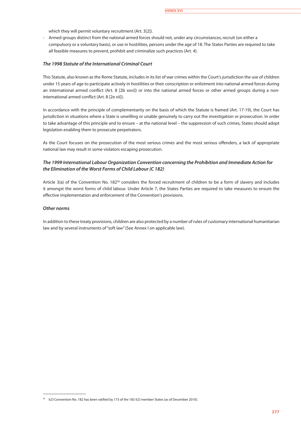**annex XVI**

which they will permit voluntary recruitment (Art. 3[2]).

• Armed groups distinct from the national armed forces should not, under any circumstances, recruit (on either a compulsory or a voluntary basis), or use in hostilities, persons under the age of 18. The States Parties are required to take all feasible measures to prevent, prohibit and criminalize such practices (Art. 4).

## *The 1998 Statute of the International Criminal Court*

This Statute, also known as the Rome Statute, includes in its list of war crimes within the Court's jurisdiction the use of children under 15 years of age to participate actively in hostilities or their conscription or enlistment into national armed forces during an international armed conflict (Art. 8 [2b xxvi]) or into the national armed forces or other armed groups during a noninternational armed conflict (Art. 8 [2e vii]).

In accordance with the principle of complementarity on the basis of which the Statute is framed (Art. 17-19), the Court has jurisdiction in situations where a State is unwilling or unable genuinely to carry out the investigation or prosecution. In order to take advantage of this principle and to ensure – at the national level – the suppression of such crimes, States should adopt legislation enabling them to prosecute perpetrators.

As the Court focuses on the prosecution of the most serious crimes and the most serious offenders, a lack of appropriate national law may result in some violators escaping prosecution.

# *The 1999 International Labour Organization Convention concerning the Prohibition and Immediate Action for the Elimination of the Worst Forms of Child Labour (C 182)*

Article 3(a) of the Convention No. 182<sup>36</sup> considers the forced recruitment of children to be a form of slavery and includes it amongst the worst forms of child labour. Under Article 7, the States Parties are required to take measures to ensure the effective implementation and enforcement of the Convention's provisions.

## *Other norms*

In addition to these treaty provisions, children are also protected by a number of rules of customary international humanitarian law and by several instruments of "soft law" (See Annex I on applicable law).

ILO Convention No. 182 has been ratified by 173 of the 183 ILO member States (as of December 2010).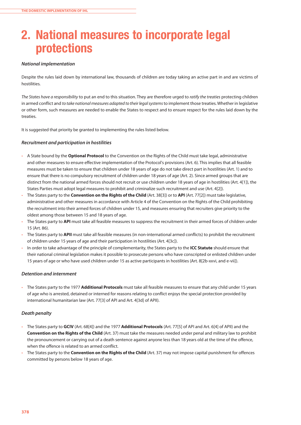# **2. National measures to incorporate legal protections**

# *National implementation*

Despite the rules laid down by international law, thousands of children are today taking an active part in and are victims of hostilities.

*The States have a responsibility* to put an end to this situation. They are therefore urged to *ratify the treaties* protecting children in armed conflict and *to take national measures adapted to their legal systems* to implement those treaties. Whether in legislative or other form, such measures are needed to enable the States to respect and to ensure respect for the rules laid down by the treaties.

It is suggested that priority be granted to implementing the rules listed below.

# *Recruitment and participation in hostilities*

- • A State bound by the **Optional Protocol** to the Convention on the Rights of the Child must take legal, administrative and other measures to ensure effective implementation of the Protocol's provisions (Art. 6). This implies that all feasible measures must be taken to ensure that children under 18 years of age do not take direct part in hostilities (Art. 1) and to ensure that there is no compulsory recruitment of children under 18 years of age (Art. 2). Since armed groups that are distinct from the national armed forces should not recruit or use children under 18 years of age in hostilities (Art. 4[1]), the States Parties must adopt legal measures to prohibit and criminalize such recruitment and use (Art. 4[2]).
- The States party to the **Convention on the Rights of the Child** (Art. 38[3]) or to API (Art. 77[2]) must take legislative, administrative and other measures in accordance with Article 4 of the Convention on the Rights of the Child prohibiting the recruitment into their armed forces of children under 15, and measures ensuring that recruiters give priority to the oldest among those between 15 and 18 years of age.
- • The States party to **API** must take all feasible measures to suppress the recruitment in their armed forces of children under 15 (Art. 86).
- • The States party to **APII** must take all feasible measures (in non-international armed conflicts) to prohibit the recruitment of children under 15 years of age and their participation in hostilities (Art. 4[3c]).
- In order to take advantage of the principle of complementarity, the States party to the **ICC Statute** should ensure that their national criminal legislation makes it possible to prosecute persons who have conscripted or enlisted children under 15 years of age or who have used children under 15 as active participants in hostilities (Art. 8[2b-xxvi, and e-vii]).

# *Detention and internment*

• The States party to the 1977 **Additional Protocols** must take all feasible measures to ensure that any child under 15 years of age who is arrested, detained or interned for reasons relating to conflict enjoys the special protection provided by international humanitarian law (Art. 77[3] of API and Art. 4[3d] of APII).

# *Death penalty*

- • The States party to **GCIV** (Art. 68[4]) and the 1977 **Additional Protocols** (Art. 77[5] of API and Art. 6[4] of APII) and the **Convention on the Rights of the Child** (Art. 37) must take the measures needed under penal and military law to prohibit the pronouncement or carrying out of a death sentence against anyone less than 18 years old at the time of the offence, when the offence is related to an armed conflict.
- The States party to the **Convention on the Rights of the Child** (Art. 37) may not impose capital punishment for offences committed by persons below 18 years of age.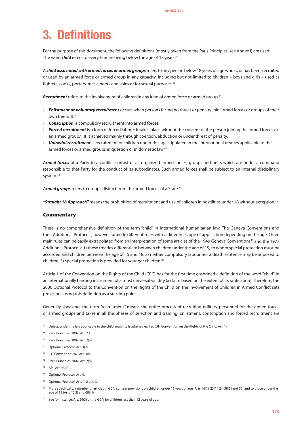# **3. Definitions**

For the purpose of this document, the following definitions (mostly taken from the Paris Principles, see Annex I) are used: The word *child* refers to every human being below the age of 18 years.<sup>37</sup>

*A child associated with armed forces or armed groups* refers to any person below 18 years of age who is, or has been, recruited or used by an armed force or armed group in any capacity, including but not limited to children – boys and girls – used as fighters, cooks, porters, messengers and spies or for sexual purposes.<sup>38</sup>

*Recruitment* refers to the involvement of children in any kind of armed force or armed group.39

- **•**  *Enlistment* **or** *voluntary recruitment* occurs when persons facing no threat or penalty join armed forces or groups of their own free will.<sup>40</sup>
- **Conscription** is compulsory recruitment into armed forces.
- **Forced recruitment** is a form of forced labour: it takes place without the consent of the person joining the armed forces or an armed group.41 It is achieved mainly through coercion, abduction or under threat of penalty.
- *Unlawful recruitment* is recruitment of children under the age stipulated in the international treaties applicable to the armed forces or armed groups in question or in domestic law.42

*Armed forces* of a Party to a conflict consist of all organized armed forces, groups and units which are under a command responsible to that Party for the conduct of its subordinates. Such armed forces shall be subject to an internal disciplinary system.<sup>43</sup>

Armed groups refers to groups distinct from the armed forces of a State.<sup>44</sup>

*"Straight 18 Approach"* means the prohibition of recruitment and use of children in hostilities under 18 without exception.45

## **Commentary**

There is no comprehensive definition of the term "child" in international humanitarian law. The Geneva Conventions and their Additional Protocols, however, provide different rules with a different scope of application depending on the age. Three main rules can be easily extrapolated from an interpretation of some articles of the 1949 Geneva Conventions<sup>46</sup> and the 1977 Additional Protocols: 1) these treaties differentiate between children under the age of 15, to whom special protection must be accorded and children between the age of 15 and 18; 2) neither compulsory labour nor a death sentence may be imposed to children; 3) special protection is provided for younger children.<sup>47</sup>

Article 1 of the Convention on the Rights of the Child (CRC) has for the first time enshrined a definition of the word "child" in an internationally binding instrument of almost universal validity (a claim based on the extent of its ratification). Therefore, the 2000 Optional Protocol to the Convention on the Rights of the Child on the Involvement of Children in Armed Conflict sets provisions using this definition as a starting point.

Generally speaking, the term "recruitment" means the entire process of recruiting military personnel for the armed forces or armed groups and takes in all the phases of selection and training. Enlistment, conscription and forced recruitment are

- Paris Principles 2007, Art. 2(4).
- <sup>40</sup> Optional Protocol, Art. 3(2).
- ILO Convention 182, Art. 3(a).
- <sup>42</sup> Paris Principles 2007, Art. 2(5).
- <sup>43</sup> API, Art. 43(1).
- <sup>44</sup> Optional Protocol, Art. 4.
- <sup>45</sup> Optional Protocol, Arts 1, 2 and 3.

47 See for instance: Art. 24(3) of the GCIV for children less than 12 years of age.

<sup>&</sup>lt;sup>37</sup> Unless, under the law applicable to the child, majority is attained earlier. (UN Convention on the Rights of the Child, Art. 1).

<sup>&</sup>lt;sup>38</sup> Paris Principles 2007, Art. 2.1.

<sup>46</sup> More specifically, a number of articles in GCIV contain provisions on children under 15 years of age (Arts 14[1], 23[1], 24, 38[5] and 50) and to those under the age of 18 (Arts 40[3] and 68[4]).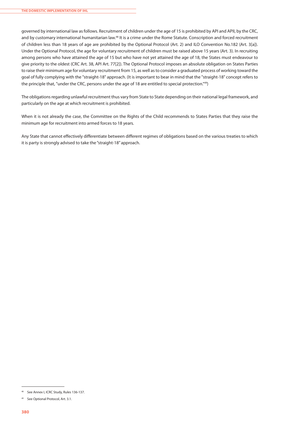governed by international law as follows. Recruitment of children under the age of 15 is prohibited by API and APII, by the CRC, and by customary international humanitarian law.<sup>48</sup> It is a crime under the Rome Statute. Conscription and forced recruitment of children less than 18 years of age are prohibited by the Optional Protocol (Art. 2) and ILO Convention No.182 (Art. 3[a]). Under the Optional Protocol, the age for voluntary recruitment of children must be raised above 15 years (Art. 3). In recruiting among persons who have attained the age of 15 but who have not yet attained the age of 18, the States must endeavour to give priority to the oldest (CRC Art. 38, API Art. 77[2]). The Optional Protocol imposes an absolute obligation on States Parties to raise their minimum age for voluntary recruitment from 15, as well as to consider a graduated process of working toward the goal of fully complying with the "straight-18" approach. (It is important to bear in mind that the "straight-18" concept refers to the principle that, "under the CRC, persons under the age of 18 are entitled to special protection."49)

The obligations regarding unlawful recruitment thus vary from State to State depending on their national legal framework, and particularly on the age at which recruitment is prohibited.

When it is not already the case, the Committee on the Rights of the Child recommends to States Parties that they raise the minimum age for recruitment into armed forces to 18 years.

Any State that cannot effectively differentiate between different regimes of obligations based on the various treaties to which it is party is strongly advised to take the "straight-18" approach.

See Annex I, ICRC Study, Rules 136-137.

<sup>49</sup> See Optional Protocol, Art. 3.1.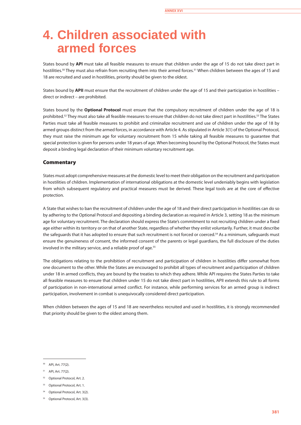# **4. Children associated with armed forces**

States bound by **API** must take all feasible measures to ensure that children under the age of 15 do not take direct part in hostilities.<sup>50</sup> They must also refrain from recruiting them into their armed forces.<sup>51</sup> When children between the ages of 15 and 18 are recruited and used in hostilities, priority should be given to the oldest.

States bound by **APII** must ensure that the recruitment of children under the age of 15 and their participation in hostilities – direct or indirect – are prohibited.

States bound by the **Optional Protocol** must ensure that the compulsory recruitment of children under the age of 18 is prohibited.<sup>52</sup> They must also take all feasible measures to ensure that children do not take direct part in hostilities.<sup>53</sup> The States Parties must take all feasible measures to prohibit and criminalize recruitment and use of children under the age of 18 by armed groups distinct from the armed forces, in accordance with Article 4. As stipulated in Article 3(1) of the Optional Protocol, they must raise the minimum age for voluntary recruitment from 15 while taking all feasible measures to guarantee that special protection is given for persons under 18 years of age. When becoming bound by the Optional Protocol, the States must deposit a binding legal declaration of their minimum voluntary recruitment age.

# **Commentary**

States must adopt comprehensive measures at the domestic level to meet their obligation on the recruitment and participation in hostilities of children. Implementation of international obligations at the domestic level undeniably begins with legislation from which subsequent regulatory and practical measures must be derived. These legal tools are at the core of effective protection.

A State that wishes to ban the recruitment of children under the age of 18 and their direct participation in hostilities can do so by adhering to the Optional Protocol and depositing a binding declaration as required in Article 3, setting 18 as the minimum age for voluntary recruitment. The declaration should express the State's commitment to not recruiting children under a fixed age either within its territory or on that of another State, regardless of whether they enlist voluntarily. Further, it must describe the safeguards that it has adopted to ensure that such recruitment is not forced or coerced.<sup>54</sup> As a minimum, safeguards must ensure the genuineness of consent, the informed consent of the parents or legal guardians, the full disclosure of the duties involved in the military service, and a reliable proof of age.<sup>55</sup>

The obligations relating to the prohibition of recruitment and participation of children in hostilities differ somewhat from one document to the other. While the States are encouraged to prohibit all types of recruitment and participation of children under 18 in armed conflicts, they are bound by the treaties to which they adhere. While API requires the States Parties to take all feasible measures to ensure that children under 15 do not take direct part in hostilities, APII extends this rule to all forms of participation in non-international armed conflict. For instance, while performing services for an armed group is indirect participation, involvement in combat is unequivocally considered direct participation.

When children between the ages of 15 and 18 are nevertheless recruited and used in hostilities, it is strongly recommended that priority should be given to the oldest among them.

<sup>50</sup> API, Art. 77(2).

<sup>51</sup> API, Art. 77(2).

<sup>52</sup> Optional Protocol, Art. 2.

<sup>53</sup> Optional Protocol, Art. 1.

<sup>54</sup> Optional Protocol, Art. 3(2).

<sup>55</sup> Optional Protocol, Art. 3(3).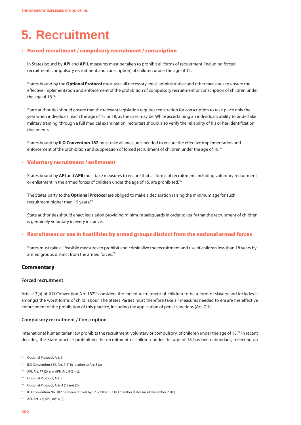# **5. Recruitment**

# · Forced recruitment / compulsory recruitment / conscription

In States bound by **API** and **APII**, measures must be taken to prohibit all forms of recruitment (including forced recruitment, compulsory recruitment and conscription) of children under the age of 15.

States bound by the **Optional Protocol** must take all necessary legal, administrative and other measures to ensure the effective implementation and enforcement of the prohibition of compulsory recruitment or conscription of children under the age of 18.<sup>56</sup>

State authorities should ensure that the relevant legislation requires registration for conscription to take place only the year when individuals reach the age of 15 or 18, as the case may be. While ascertaining an individual's ability to undertake military training, through a full medical examination, recruiters should also verify the reliability of his or her identification documents.

States bound by **ILO Convention 182** must take all measures needed to ensure the effective implementation and enforcement of the prohibition and suppression of forced recruitment of children under the age of 18.<sup>57</sup>

# Voluntary recruitment / enlistment

States bound by **API** and **APII** must take measures to ensure that all forms of recruitment, including voluntary recruitment or enlistment in the armed forces of children under the age of 15, are prohibited.58

The States party to the **Optional Protocol** are obliged to make a declaration raising the minimum age for such recruitment higher than 15 years.<sup>59</sup>

State authorities should enact legislation providing minimum safeguards in order to verify that the recruitment of children is genuinely voluntary in every instance.

# · Recruitment or use in hostilities by armed groups distinct from the national armed forces

States must take all feasible measures to prohibit and criminalize the recruitment and use of children less than 18 years by armed groups distinct from the armed forces.<sup>60</sup>

# **Commentary**

## **Forced recruitment**

Article 3(a) of ILO Convention No. 182<sup>61</sup> considers the forced recruitment of children to be a form of slavery and includes it amongst the worst forms of child labour. The States Parties must therefore take all measures needed to ensure the effective enforcement of the prohibition of this practice, including the application of penal sanctions (Art. 7.1).

## **Compulsory recruitment / Conscription**

International humanitarian law prohibits the recruitment, voluntary or compulsory, of children under the age of 15.62 In recent decades, the State practice prohibiting the recruitment of children under the age of 18 has been abundant, reflecting an

<sup>56</sup> Optional Protocol, Art. 6.

<sup>57</sup> ILO Convention 182, Art. 7(1) in relation to Art. 3 (a).

<sup>58</sup> API, Art. 77 (2) and APII, Art. 4 (3) (c).

<sup>59</sup> Optional Protocol, Art. 3.

Optional Protocol, Arts 4 (1) and (2).

<sup>61</sup> ILO Convention No. 182 has been ratified by 173 of the 183 ILO member states (as of December 2010).

<sup>62</sup> API, Art. 77; APII, Art. 4 (3).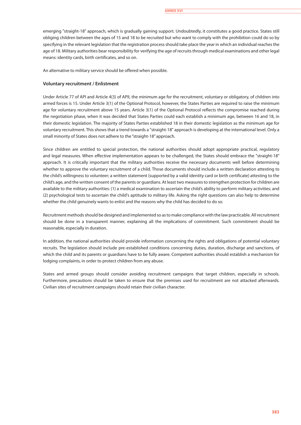emerging "straight-18" approach, which is gradually gaining support. Undoubtedly, it constitutes a good practice. States still obliging children between the ages of 15 and 18 to be recruited but who want to comply with the prohibition could do so by specifying in the relevant legislation that the registration process should take place the year in which an individual reaches the age of 18. Military authorities bear responsibility for verifying the age of recruits through medical examinations and other legal means: identity cards, birth certificates, and so on.

An alternative to military service should be offered when possible.

### **Voluntary recruitment / Enlistment**

Under Article 77 of API and Article 4(3) of APII, the minimum age for the recruitment, voluntary or obligatory, of children into armed forces is 15. Under Article 3(1) of the Optional Protocol, however, the States Parties are required to raise the minimum age for voluntary recruitment above 15 years. Article 3(1) of the Optional Protocol reflects the compromise reached during the negotiation phase, when it was decided that States Parties could each establish a minimum age, between 16 and 18, in their domestic legislation. The majority of States Parties established 18 in their domestic legislation as the minimum age for voluntary recruitment. This shows that a trend towards a "straight-18" approach is developing at the international level. Only a small minority of States does not adhere to the "straight-18" approach.

Since children are entitled to special protection, the national authorities should adopt appropriate practical, regulatory and legal measures. When effective implementation appears to be challenged, the States should embrace the "straight-18" approach. It is critically important that the military authorities receive the necessary documents well before determining whether to approve the voluntary recruitment of a child. Those documents should include a written declaration attesting to the child's willingness to volunteer; a written statement (supported by a valid identity card or birth certificate) attesting to the child's age, and the written consent of the parents or guardians. At least two measures to strengthen protection for children are available to the military authorities: (1) a medical examination to ascertain the child's ability to perform military activities; and (2) psychological tests to ascertain the child's aptitude to military life. Asking the right questions can also help to determine whether the child genuinely wants to enlist and the reasons why the child has decided to do so.

Recruitment methods should be designed and implemented so as to make compliance with the law practicable. All recruitment should be done in a transparent manner, explaining all the implications of commitment. Such commitment should be reasonable, especially in duration.

In addition, the national authorities should provide information concerning the rights and obligations of potential voluntary recruits. The legislation should include pre-established conditions concerning duties, duration, discharge and sanctions, of which the child and its parents or guardians have to be fully aware. Competent authorities should establish a mechanism for lodging complaints, in order to protect children from any abuse.

States and armed groups should consider avoiding recruitment campaigns that target children, especially in schools. Furthermore, precautions should be taken to ensure that the premises used for recruitment are not attacked afterwards. Civilian sites of recruitment campaigns should retain their civilian character.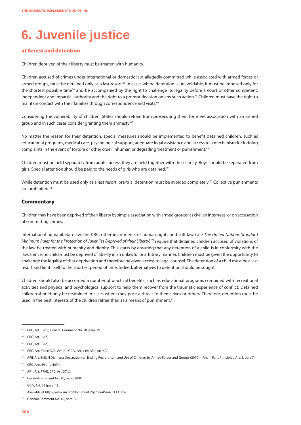# **6. Juvenile justice**

# a) Arrest and detention

Children deprived of their liberty must be treated with humanity.

Children accused of crimes under international or domestic law, allegedly committed while associated with armed forces or armed groups, must be detained only as a last resort.<sup>63</sup> In cases where detention is unavoidable, it must be imposed only for the shortest possible time<sup>64</sup> and be accompanied by the right to challenge its legality before a court or other competent, independent and impartial authority and the right to a prompt decision on any such action.<sup>65</sup> Children must have the right to maintain contact with their families through correspondence and visits.<sup>66</sup>

Considering the vulnerability of children, States should refrain from prosecuting them for mere association with an armed group and in such cases consider granting them amnesty.<sup>67</sup>

No matter the reason for their detention, special measures should be implemented to benefit detained children, such as educational programs, medical care, psychological support, adequate legal assistance and access to a mechanism for lodging complaints in the event of torture or other cruel, inhuman or degrading treatment or punishment.<sup>68</sup>

Children must be held separately from adults unless they are held together with their family. Boys should be separated from girls. Special attention should be paid to the needs of girls who are detained.<sup>69</sup>

While detention must be used only as a last resort, pre-trial detention must be avoided completely.<sup>70</sup> Collective punishments are prohibited.<sup>71</sup>

## **Commentary**

Children may have been deprived of their liberty by simple association with armed groups; as civilian internees; or on accusation of committing crimes.

International humanitarian law, the CRC, other instruments of human rights and soft law (see *The United Nations Standard Minimum Rules for the Protection of Juveniles Deprived of their Liberty*),<sup>72</sup> require that detained children accused of violations of the law be treated with humanity and dignity. This starts by ensuring that any detention of a child is in conformity with the law. Hence, no child must be deprived of liberty in an unlawful or arbitrary manner. Children must be given the opportunity to challenge the legality of that deprivation and therefore be given access to legal counsel. The detention of a child must be a last resort and limit itself to the shortest period of time. Indeed, alternatives to detention should be sought.

Children should also be accorded a number of practical benefits, such as educational programs combined with recreational activities and physical and psychological support to help them recover from the traumatic experience of conflict. Detained children should only be restrained in cases where they pose a threat to themselves or others. Therefore, detention must be used in the best interests of the children rather than as a means of punishment.<sup>73</sup>

<sup>63</sup> CRC, Art. 37(b); General Comment No. 10, para. 79.

<sup>64</sup> CRC, Art. 37(b).

<sup>&</sup>lt;sup>65</sup> CRC, Art. 37(d).

<sup>66</sup> CRC, Art. 37(c); GCIII Art. 71; GCIV, Art. 116; APII, Art. 5(2).

<sup>67</sup> APII, Art. 6(5); N'Djamena Declaration on Ending Recruitment and Use of Children by Armed Forces and Groups (2010) – Art. 4; Paris Principles, Art. 8, para 7.

<sup>&</sup>lt;sup>68</sup> CRC, Arts 39 and 40(4).

<sup>69</sup> AP1, Art. 77(4); CRC, Art. 37(c).

<sup>70</sup> General Comment No. 10, paras 80-81.

<sup>71</sup> GCIV, Art. 33 (para. 1).

<sup>72</sup> Available at http://www.un.org/documents/ga/res/45/a45r113.htm.

<sup>73</sup> General Comment No. 10, para. 89.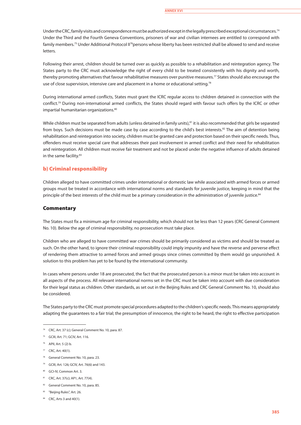Under the CRC, family visits and correspondence must be authorized except in the legally prescribed exceptional circumstances.<sup>74</sup> Under the Third and the Fourth Geneva Conventions, prisoners of war and civilian internees are entitled to correspond with family members.<sup>75</sup> Under Additional Protocol II<sup>76</sup>persons whose liberty has been restricted shall be allowed to send and receive letters.

Following their arrest, children should be turned over as quickly as possible to a rehabilitation and reintegration agency. The States party to the CRC must acknowledge the right of every child to be treated consistently with his dignity and worth, thereby promoting alternatives that favour rehabilitative measures over punitive measures.<sup>77</sup> States should also encourage the use of close supervision, intensive care and placement in a home or educational setting.<sup>78</sup>

During international armed conflicts, States must grant the ICRC regular access to children detained in connection with the conflict.79 During non-international armed conflicts, the States should regard with favour such offers by the ICRC or other impartial humanitarian organizations.<sup>80</sup>

While children must be separated from adults (unless detained in family units), $81$  it is also recommended that girls be separated from boys. Such decisions must be made case by case according to the child's best interests.<sup>82</sup> The aim of detention being rehabilitation and reintegration into society, children must be granted care and protection based on their specific needs. Thus, offenders must receive special care that addresses their past involvement in armed conflict and their need for rehabilitation and reintegration. All children must receive fair treatment and not be placed under the negative influence of adults detained in the same facility.<sup>83</sup>

# b) Criminal responsibility

Children alleged to have committed crimes under international or domestic law while associated with armed forces or armed groups must be treated in accordance with international norms and standards for juvenile justice, keeping in mind that the principle of the best interests of the child must be a primary consideration in the administration of juvenile justice.<sup>84</sup>

## **Commentary**

The States must fix a minimum age for criminal responsibility, which should not be less than 12 years (CRC General Comment No. 10). Below the age of criminal responsibility, no prosecution must take place.

Children who are alleged to have committed war crimes should be primarily considered as victims and should be treated as such. On the other hand, to ignore their criminal responsibility could imply impunity and have the reverse and perverse effect of rendering them attractive to armed forces and armed groups since crimes committed by them would go unpunished. A solution to this problem has yet to be found by the international community.

In cases where persons under 18 are prosecuted, the fact that the prosecuted person is a minor must be taken into account in all aspects of the process. All relevant international norms set in the CRC must be taken into account with due consideration for their legal status as children. Other standards, as set out in the Beijing Rules and CRC General Comment No. 10, should also be considered.

The States party to the CRC must promote special procedures adapted to the children's specific needs. This means appropriately adapting the guarantees to a fair trial; the presumption of innocence, the right to be heard, the right to effective participation

- <sup>76</sup> APII, Art. 5 (2) b.
- <sup>77</sup> CRC, Art. 40(1).
- <sup>78</sup> General Comment No. 10, para. 23.
- <sup>79</sup> GCIII, Art. 126; GCIV, Art. 76(6) and 143.
- 80 GCI-IV, Common Art. 3.
- <sup>81</sup> CRC, Art. 37(c); AP1, Art. 77(4).
- 82 General Comment No. 10, para. 85.
- 83 "Beijing Rules", Art. 26.
- 84 CRC, Arts 3 and 40(1).

<sup>74</sup> CRC, Art. 37 (c); General Comment No. 10, para. 87.

<sup>75</sup> GCIII, Art. 71; GCIV, Art. 116.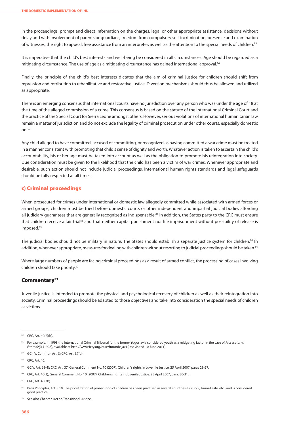in the proceedings, prompt and direct information on the charges, legal or other appropriate assistance, decisions without delay and with involvement of parents or guardians, freedom from compulsory self-incrimination, presence and examination of witnesses, the right to appeal, free assistance from an interpreter, as well as the attention to the special needs of children.<sup>85</sup>

It is imperative that the child's best interests and well-being be considered in all circumstances. Age should be regarded as a mitigating circumstance. The use of age as a mitigating circumstance has gained international approval.<sup>86</sup>

Finally, the principle of the child's best interests dictates that the aim of criminal justice for children should shift from repression and retribution to rehabilitative and restorative justice. Diversion mechanisms should thus be allowed and utilized as appropriate.

There is an emerging consensus that international courts have no jurisdiction over any person who was under the age of 18 at the time of the alleged commission of a crime. This consensus is based on the statute of the International Criminal Court and the practice of the Special Court for Sierra Leone amongst others. However, serious violations of international humanitarian law remain a matter of jurisdiction and do not exclude the legality of criminal prosecution under other courts, especially domestic ones.

Any child alleged to have committed, accused of committing, or recognized as having committed a war crime must be treated in a manner consistent with promoting that child's sense of dignity and worth. Whatever action is taken to ascertain the child's accountability, his or her age must be taken into account as well as the obligation to promote his reintegration into society. Due consideration must be given to the likelihood that the child has been a victim of war crimes. Whenever appropriate and desirable, such action should not include judicial proceedings. International human rights standards and legal safeguards should be fully respected at all times.

# c) Criminal proceedings

When prosecuted for crimes under international or domestic law allegedly committed while associated with armed forces or armed groups, children must be tried before domestic courts or other independent and impartial judicial bodies affording all judiciary guarantees that are generally recognized as indispensable.<sup>87</sup> In addition, the States party to the CRC must ensure that children receive a fair trial<sup>88</sup> and that neither capital punishment nor life imprisonment without possibility of release is imposed.<sup>89</sup>

The judicial bodies should not be military in nature. The States should establish a separate justice system for children.<sup>90</sup> In addition, whenever appropriate, measures for dealing with children without resorting to judicial proceedings should be taken.<sup>91</sup>

Where large numbers of people are facing criminal proceedings as a result of armed conflict, the processing of cases involving children should take priority.<sup>92</sup>

# Commentary<sup>93</sup>

Juvenile justice is intended to promote the physical and psychological recovery of children as well as their reintegration into society. Criminal proceedings should be adapted to those objectives and take into consideration the special needs of children as victims.

<sup>85</sup> CRC, Art. 40(2)(b).

<sup>86</sup> For example, in 1998 the International Criminal Tribunal for the former Yugoslavia considered youth as a mitigating factor in the case of *Prosecutor* v. *Furundzija* (1998), available at http://www.icty.org/case/furundzija/4 (last visited 10 June 2011).

<sup>87</sup> GCI-IV, Common Art. 3; CRC, Art. 37(d).

<sup>88</sup> CRC, Art. 40.

<sup>89</sup> GCIV, Art. 68(4); CRC, Art. 37; General Comment No. 10 (2007), Children's rights in Juvenile Justice: 25 April 2007, paras 23-27.

<sup>90</sup> CRC, Art. 40(3), General Comment No. 10 (2007), Children's rights in Juvenile Justice: 25 April 2007, para. 30-31.

<sup>&</sup>lt;sup>91</sup> CRC, Art. 40(3b).

Paris Principles, Art. 8.10. The prioritization of prosecution of children has been practised in several countries (Burundi, Timor-Leste, etc.) and is considered good practice.

 $93$  See also Chapter 7(c) on Transitional Justice.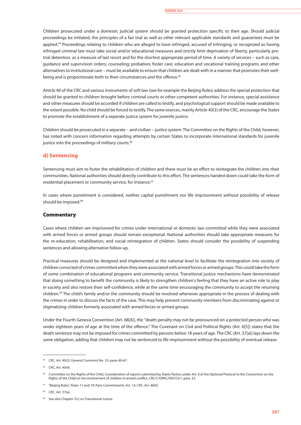Children prosecuted under a domestic judicial system should be granted protection specific to their age. Should judicial proceedings be initiated, the principles of a fair trial as well as other relevant applicable standards and guarantees must be applied.<sup>94</sup> Proceedings relating to children who are alleged to have infringed, accused of infringing, or recognized as having infringed criminal law must take social and/or educational measures and strictly limit deprivation of liberty, particularly pretrial detention, as a measure of last resort and for the shortest appropriate period of time. A variety of services – such as care, guidance and supervision orders; counseling; probation; foster care; education and vocational training programs and other alternatives to institutional care – must be available to ensure that children are dealt with in a manner that promotes their wellbeing and is proportionate both to their circumstances and the offence.<sup>95</sup>

Article 40 of the CRC and various instruments of soft law (see for example the Beijing Rules) address the special protection that should be granted to children brought before criminal courts or other competent authorities. For instance, special assistance and other measures should be accorded if children are called to testify, and psychological support should be made available to the extent possible. No child should be forced to testify. The same sources, mainly Article 40(3) of the CRC, encourage the States to promote the establishment of a separate justice system for juvenile justice.

Children should be prosecuted in a separate – and civilian – justice system. The Committee on the Rights of the Child, however, has noted with concern information regarding attempts by certain States to incorporate international standards for juvenile justice into the proceedings of military courts.<sup>96</sup>

## d) Sentencing

Sentencing must aim to foster the rehabilitation of children and there must be an effort to reintegrate the children into their communities. National authorities should directly contribute to this effort. The sentences handed down could take the form of residential placement or community service, for instance.<sup>97</sup>

In cases where punishment is considered, neither capital punishment nor life imprisonment without possibility of release should be imposed.<sup>98</sup>

## **Commentary**

Cases where children are imprisoned for crimes under international or domestic law committed while they were associated with armed forces or armed groups should remain exceptional. National authorities should take appropriate measures for the re-education, rehabilitation, and social reintegration of children. States should consider the possibility of suspending sentences and allowing alternative follow-up.

Practical measures should be designed and implemented at the national level to facilitate the reintegration into society of children convicted of crimes committed when they were associated with armed forces or armed groups. This could take the form of some combination of educational programs and community service. Transitional justice mechanisms have demonstrated that doing something to benefit the community is likely to strengthen children's feeling that they have an active role to play in society and also restore their self-confidence, while at the same time encouraging the community to accept the returning children.<sup>99</sup> The child's family and/or the community should be involved whenever appropriate in the process of dealing with the crimes in order to discuss the facts of the case. This may help prevent community members from discriminating against or stigmatizing children formerly associated with armed forces or armed groups.

Under the Fourth Geneva Convention (Art. 68[4]), the "death penalty may not be pronounced on a protected person who was under eighteen years of age at the time of the offence." The Covenant on Civil and Political Rights (Art. 6[5]) states that the death sentence may not be imposed for crimes committed by persons below 18 years of age. The CRC (Art. 37[a]) lays down the same obligation, adding that children may not be sentenced to life imprisonment without the possibility of eventual release.

<sup>94</sup> CRC, Art. 40(2); General Comment No. 10, paras 40-67.

<sup>95</sup> CRC, Art. 40(4).

<sup>96</sup> Committee on the Rights of the Child, Consideration of reports submitted by States Parties under Art. 8 of the Optional Protocol to the Convention on the Rights of the Child on the involvement of children in armed conflict, CRC/C/OPAC/ISR/CO/1, para. 33.

<sup>&</sup>quot;Beijing Rules", Rules 11 and 19; Paris Commitments, Art. 12; CRC, Art. 40(4).

<sup>98</sup> CRC, Art. 37(a).

See also Chapter 7(c) on Transitional Justice.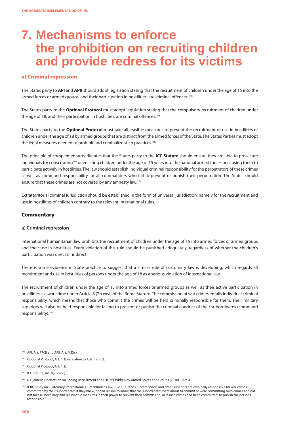# **7. Mechanisms to enforce the prohibition on recruiting children and provide redress for its victims**

# a) Criminal repression

The States party to **API** and **APII** should adopt legislation stating that the recruitment of children under the age of 15 into the armed forces or armed groups, and their participation in hostilities, are criminal offences.<sup>100</sup>

The States party to the **Optional Protocol** must adopt legislation stating that the compulsory recruitment of children under the age of 18, and their participation in hostilities, are criminal offences.<sup>101</sup>

The States party to the **Optional Protocol** must take all feasible measures to prevent the recruitment or use in hostilities of children under the age of 18 by armed groups that are distinct from the armed forces of the State. The States Parties must adopt the legal measures needed to prohibit and criminalize such practices.<sup>102</sup>

The principle of complementarity dictates that the States party to the **ICC Statute** should ensure they are able to prosecute individuals for conscripting<sup>103</sup> or enlisting children under the age of 15 years into the national armed forces or causing them to participate actively in hostilities. The law should establish individual criminal responsibility for the perpetrators of these crimes as well as command responsibility for all commanders who fail to prevent or punish their perpetration. The States should ensure that these crimes are not covered by any amnesty law.104

Extraterritorial criminal jurisdiction should be established in the form of universal jurisdiction, namely for the recruitment and use in hostilities of children contrary to the relevant international rules.

# **Commentary**

## **a) Criminal repression**

International humanitarian law prohibits the recruitment of children under the age of 15 into armed forces or armed groups and their use in hostilities. Every violation of this rule should be punished adequately, regardless of whether the children's participation was direct or indirect.

There is some evidence in State practice to suggest that a similar rule of customary law is developing, which regards all recruitment and use in hostilities of persons under the age of 18 as a serious violation of international law.

The recruitment of children under the age of 15 into armed forces or armed groups as well as their active participation in hostilities is a war crime under Article 8 (2b xxvi) of the Rome Statute. The commission of war crimes entails individual criminal responsibility, which means that those who commit the crimes will be held criminally responsible for them. Their military superiors will also be held responsible for failing to prevent or punish the criminal conduct of their subordinates (command responsibility).105

<sup>100</sup> API, Art. 77(2) and APII, Art. 4(3)(c).

<sup>101</sup> Optional Protocol, Art. 6(1) in relation to Arts 1 and 2.

<sup>102</sup> Optional Protocol, Art. 4(2).

<sup>103</sup> ICC Statute, Art. 8(2b xxvi).

<sup>104</sup> N'Djamena Declaration on Ending Recruitment and Use of Children by Armed Forces and Groups (2010) – Art. 4.

<sup>105</sup> ICRC Study on Customary International Humanitarian Law, Rule 153, reads "Commanders and other superiors are criminally responsible for war crimes committed by their subordinates if they knew, or had reason to know, that the subordinates were about to commit or were committing such crimes and did not take all necessary and reasonable measures in their power to prevent their commission, or if such crimes had been committed, to punish the persons responsible."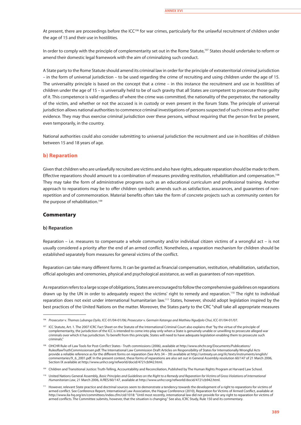At present, there are proceedings before the ICC<sup>106</sup> for war crimes, particularly for the unlawful recruitment of children under the age of 15 and their use in hostilities.

In order to comply with the principle of complementarity set out in the Rome Statute,<sup>107</sup> States should undertake to reform or amend their domestic legal framework with the aim of criminalizing such conduct.

A State party to the Rome Statute should amend its criminal law in order for the principle of extraterritorial criminal jurisdiction – in the form of universal jurisdiction – to be used regarding the crime of recruiting and using children under the age of 15. The universality principle is based on the concept that a crime – in this instance the recruitment and use in hostilities of children under the age of 15 – is universally held to be of such gravity that all States are competent to prosecute those guilty of it. This competence is valid regardless of where the crime was committed, the nationality of the perpetrator, the nationality of the victim, and whether or not the accused is in custody or even present in the forum State. The principle of universal jurisdiction allows national authorities to commence criminal investigations of persons suspected of such crimes and to gather evidence. They may thus exercise criminal jurisdiction over these persons, without requiring that the person first be present, even temporarily, in the country.

National authorities could also consider submitting to universal jurisdiction the recruitment and use in hostilities of children between 15 and 18 years of age.

#### b) Reparation

Given that children who are unlawfully recruited are victims and also have rights, adequate reparation should be made to them. Effective reparations should amount to a combination of measures providing restitution, rehabilitation and compensation.<sup>108</sup> They may take the form of administrative programs such as an educational curriculum and professional training. Another approach to reparations may be to offer children symbolic amends such as satisfaction, assurances, and guarantees of nonrepetition and of commemoration. Material benefits often take the form of concrete projects such as community centers for the purpose of rehabilitation.<sup>109</sup>

## **Commentary**

#### **b) Reparation**

Reparation – i.e. measures to compensate a whole community and/or individual citizen victims of a wrongful act – is not usually considered a priority after the end of an armed conflict. Nonetheless, a reparation mechanism for children should be established separately from measures for general victims of the conflict.

Reparation can take many different forms. It can be granted as financial compensation, restitution, rehabilitation, satisfaction, official apologies and ceremonies, physical and psychological assistance, as well as guarantees of non-repetition.

As reparation refers to a large scope of obligations, States are encouraged to follow the comprehensive guidelines on reparations drawn up by the UN in order to adequately respect the victims' right to remedy and reparation.<sup>110</sup> The right to individual reparation does not exist under international humanitarian law.111 States, however, should adopt legislation inspired by the best practices of the United Nations on the matter. Moreover, the States party to the CRC "shall take all appropriate measures

<sup>106</sup> *Prosecutor* v. *Thomas Lubanga Dyilo*, ICC-01/04-01/06; *Prosecutor* v. *Germain Katanga and Mathieu Ngudjolo Chui*, ICC-01/04-01/07.

<sup>&</sup>lt;sup>107</sup> ICC Statute, Art. 1. The 2007 ICRC Fact Sheet on the Statute of the International Criminal Court also explains that "by the virtue of the principle of complementarity, the jurisdiction of the ICC is intended to come into play only when a State is genuinely unable or unwilling to prosecute alleged war criminals over which it has jurisdiction. To benefit from this principle, States will need to have adequate legislation enabling them to prosecute such criminals."

<sup>108</sup> OHCHR Rule-of-Law Tools for Post-Conflict States - Truth commissions (2006), available at http://www.ohchr.org/Documents/Publications/ RuleoflawTruthCommissionsen.pdf. The International Law Commission Draft Articles on Responsibility of States for Internationally Wrongful Acts provide a reliable reference as for the different forms on reparation (See Arts 34 – 39) available at http://untreaty.un.org/ilc/texts/instruments/english/ commentaries/9\_6\_2001.pdf. In the present context, these forms of reparations are also set out in General Assembly resolution 60/147 of 21 March 2006, Section IX available at http://www.unhcr.org/refworld/docid/4721cb942.html.

<sup>109</sup> Children and Transitional Justice: Truth-Telling, Accountability and Reconciliation, Published by The Human Rights Program at Harvard Law School.

<sup>&</sup>lt;sup>110</sup> United Nations General Assembly, *Basic Principles and Guidelines on the Right to a Remedy and Reparation for Victims of Gross Violations of International Humanitarian Law*, 21 March 2006, A/RES/60/147, available at http://www.unhcr.org/refworld/docid/4721cb942.html.

<sup>&</sup>lt;sup>111</sup> However, relevant State practice and doctrinal sources seem to demonstrate a tendency towards the development of a right to reparations for victims of armed conflict. See Conference Report, International Law Association, the Hague Conference (2010), Reparation for Victims of Armed Conflict, available at http://www.ila-hq.org/en/committees/index.cfm/cid/1018: "Until most recently, international law did not provide for any right to reparation for victims of armed conflicts. The Committee submits, however, that the situation is changing." See also, ICRC Study, Rule 150 and its commentary.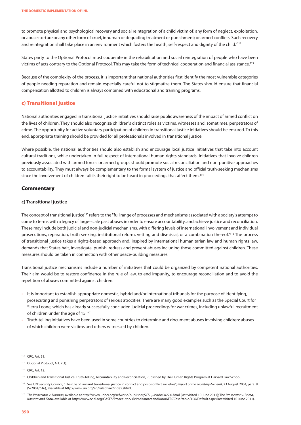to promote physical and psychological recovery and social reintegration of a child victim of: any form of neglect, exploitation, or abuse; torture or any other form of cruel, inhuman or degrading treatment or punishment; or armed conflicts. Such recovery and reintegration shall take place in an environment which fosters the health, self-respect and dignity of the child."112

States party to the Optional Protocol must cooperate in the rehabilitation and social reintegration of people who have been victims of acts contrary to the Optional Protocol. This may take the form of technical cooperation and financial assistance.<sup>113</sup>

Because of the complexity of the process, it is important that national authorities first identify the most vulnerable categories of people needing reparation and remain especially careful not to stigmatize them. The States should ensure that financial compensation allotted to children is always combined with educational and training programs.

# c) Transitional justice

National authorities engaged in transitional justice initiatives should raise public awareness of the impact of armed conflict on the lives of children. They should also recognize children's distinct roles as victims, witnesses and, sometimes, perpetrators of crime. The opportunity for active voluntary participation of children in transitional justice initiatives should be ensured. To this end, appropriate training should be provided for all professionals involved in transitional justice.

Where possible, the national authorities should also establish and encourage local justice initiatives that take into account cultural traditions, while undertaken in full respect of international human rights standards. Initiatives that involve children previously associated with armed forces or armed groups should promote social reconciliation and non-punitive approaches to accountability. They must always be complementary to the formal system of justice and official truth-seeking mechanisms since the involvement of children fulfils their right to be heard in proceedings that affect them.<sup>114</sup>

# Commentary

## **c) Transitional justice**

The concept of transitional justice115 refers to the "full range of processes and mechanisms associated with a society's attempt to come to terms with a legacy of large-scale past abuses in order to ensure accountability, and achieve justice and reconciliation. These may include both judicial and non-judicial mechanisms, with differing levels of international involvement and individual prosecutions, reparation, truth seeking, institutional reform, vetting and dismissal, or a combination thereof."116 The process of transitional justice takes a rights-based approach and, inspired by international humanitarian law and human rights law, demands that States halt, investigate, punish, redress and prevent abuses including those committed against children. These measures should be taken in connection with other peace-building measures.

Transitional justice mechanisms include a number of initiatives that could be organized by competent national authorities. Their aim would be to restore confidence in the rule of law, to end impunity, to encourage reconciliation and to avoid the repetition of abuses committed against children.

- It is important to establish appropriate domestic, hybrid and/or international tribunals for the purpose of identifying, prosecuting and punishing perpetrators of serious atrocities. There are many good examples such as the Special Court for Sierra Leone, which has already successfully concluded judicial proceedings for war crimes, including unlawful recruitment of children under the age of 15.117
- Truth-telling initiatives have been used in some countries to determine and document abuses involving children: abuses of which children were victims and others witnessed by children.

<sup>112</sup> CRC, Art. 39.

<sup>113</sup> Optional Protocol, Art. 7(1).

<sup>114</sup> CRC, Art. 12.

<sup>115</sup> Children and Transitional Justice: Truth-Telling, Accountability and Reconciliation, Published by The Human Rights Program at Harvard Law School.

<sup>116</sup> See UN Security Council, "The rule of law and transitional justice in conflict and post-conflict societies", *Report of the Secretary-General*, 23 August 2004, para. 8 (S/2004/616), available at http://www.un.org/en/ruleoflaw/index.shtml.

<sup>117</sup> *The Prosecutor* v. *Norman*, available at http://www.unhcr.org/refworld/publisher,SCSL,,,49abc0a22,0.html (last visited 10 June 2011); The *Prosecutor* v. *Brima*, *Kamara and Kanu*, available at http://www.sc-sl.org/CASES/ProsecutorvsBrimaKamaraandKanuAFRCCase/tabid/106/Default.aspx (last visited 10 June 2011).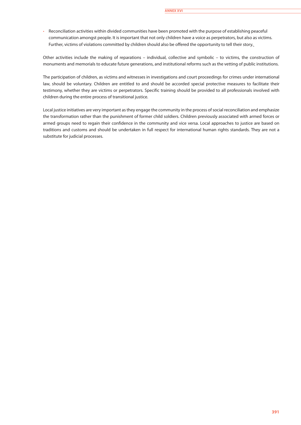• Reconciliation activities within divided communities have been promoted with the purpose of establishing peaceful communication amongst people. It is important that not only children have a voice as perpetrators, but also as victims. Further, victims of violations committed by children should also be offered the opportunity to tell their story.

Other activities include the making of reparations – individual, collective and symbolic – to victims, the construction of monuments and memorials to educate future generations, and institutional reforms such as the vetting of public institutions.

The participation of children, as victims and witnesses in investigations and court proceedings for crimes under international law, should be voluntary. Children are entitled to and should be accorded special protective measures to facilitate their testimony, whether they are victims or perpetrators. Specific training should be provided to all professionals involved with children during the entire process of transitional justice.

Local justice initiatives are very important as they engage the community in the process of social reconciliation and emphasize the transformation rather than the punishment of former child soldiers. Children previously associated with armed forces or armed groups need to regain their confidence in the community and vice versa. Local approaches to justice are based on traditions and customs and should be undertaken in full respect for international human rights standards. They are not a substitute for judicial processes.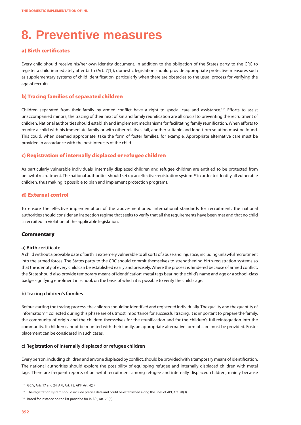# **8. Preventive measures**

# a) Birth certificates

Every child should receive his/her own identity document. In addition to the obligation of the States party to the CRC to register a child immediately after birth (Art. 7[1]), domestic legislation should provide appropriate protective measures such as supplementary systems of child identification, particularly when there are obstacles to the usual process for verifying the age of recruits.

# b) Tracing families of separated children

Children separated from their family by armed conflict have a right to special care and assistance.118 Efforts to assist unaccompanied minors, the tracing of their next of kin and family reunification are all crucial to preventing the recruitment of children. National authorities should establish and implement mechanisms for facilitating family reunification. When efforts to reunite a child with his immediate family or with other relatives fail, another suitable and long-term solution must be found. This could, when deemed appropriate, take the form of foster families, for example. Appropriate alternative care must be provided in accordance with the best interests of the child.

# c) Registration of internally displaced or refugee children

As particularly vulnerable individuals, internally displaced children and refugee children are entitled to be protected from unlawful recruitment. The national authorities should set up an effective registration system<sup>119</sup> in order to identify all vulnerable children, thus making it possible to plan and implement protection programs.

# d) External control

To ensure the effective implementation of the above-mentioned international standards for recruitment, the national authorities should consider an inspection regime that seeks to verify that all the requirements have been met and that no child is recruited in violation of the applicable legislation.

# **Commentary**

# **a) Birth certificate**

A child without a provable date of birth is extremely vulnerable to all sorts of abuse and injustice, including unlawful recruitment into the armed forces. The States party to the CRC should commit themselves to strengthening birth-registration systems so that the identity of every child can be established easily and precisely. Where the process is hindered because of armed conflict, the State should also provide temporary means of identification: metal tags bearing the child's name and age or a school-class badge signifying enrolment in school, on the basis of which it is possible to verify the child's age.

# **b) Tracing children's families**

Before starting the tracing process, the children should be identified and registered individually. The quality and the quantity of information<sup>120</sup> collected during this phase are of utmost importance for successful tracing. It is important to prepare the family, the community of origin and the children themselves for the reunification and for the children's full reintegration into the community. If children cannot be reunited with their family, an appropriate alternative form of care must be provided. Foster placement can be considered in such cases.

# **c) Registration of internally displaced or refugee children**

Every person, including children and anyone displaced by conflict, should be provided with a temporary means of identification. The national authorities should explore the possibility of equipping refugee and internally displaced children with metal tags. There are frequent reports of unlawful recruitment among refugee and internally displaced children, mainly because

<sup>118</sup> GCIV, Arts 17 and 24; API, Art. 78; APII, Art. 4(3).

<sup>119</sup> The registration system should include precise data and could be established along the lines of API, Art. 78(3).

<sup>&</sup>lt;sup>120</sup> Based for instance on the list provided for in API, Art. 78(3).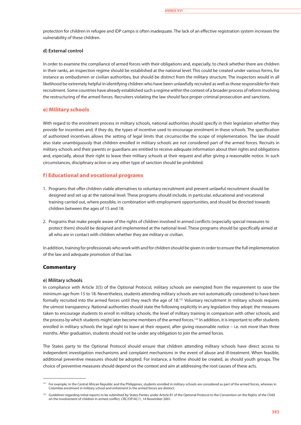protection for children in refugee and IDP camps is often inadequate. The lack of an effective registration system increases the vulnerability of these children.

## **d) External control**

In order to examine the compliance of armed forces with their obligations and, especially, to check whether there are children in their ranks, an inspection regime should be established at the national level. This could be created under various forms, for instance as ombudsmen or civilian authorities, but should be distinct from the military structure. The inspectors would in all likelihood be extremely helpful in identifying children who have been unlawfully recruited as well as those responsible for their recruitment. Some countries have already established such a regime within the context of a broader process of reform involving the restructuring of the armed forces. Recruiters violating the law should face proper criminal prosecution and sanctions.

## e) Military schools

With regard to the enrolment process in military schools, national authorities should specify in their legislation whether they provide for incentives and, if they do, the types of incentive used to encourage enrolment in these schools. The specification of authorized incentives allows the setting of legal limits that circumscribe the scope of implementation. The law should also state unambiguously that children enrolled in military schools are not considered part of the armed forces. Recruits in military schools and their parents or guardians are entitled to receive adequate information about their rights and obligations and, especially, about their right to leave their military schools at their request and after giving a reasonable notice. In such circumstances, disciplinary action or any other type of sanction should be prohibited.

## f) Educational and vocational programs

- 1. Programs that offer children viable alternatives to voluntary recruitment and prevent unlawful recruitment should be designed and set up at the national level. These programs should include, in particular, educational and vocational training carried out, where possible, in combination with employment opportunities, and should be directed towards children between the ages of 15 and 18.
- 2. Programs that make people aware of the rights of children involved in armed conflicts (especially special measures to protect them) should be designed and implemented at the national level. These programs should be specifically aimed at all who are in contact with children whether they are military or civilian.

In addition, training for professionals who work with and for children should be given in order to ensure the full implementation of the law and adequate promotion of that law.

## **Commentary**

## **e) Military schools**

In compliance with Article 3(5) of the Optional Protocol, military schools are exempted from the requirement to raise the minimum age from 15 to 18. Nevertheless, students attending military schools are not automatically considered to have been formally recruited into the armed forces until they reach the age of 18.121 Voluntary recruitment in military schools requires the utmost transparency. National authorities should state the following explicitly in any legislation they adopt: the measures taken to encourage students to enroll in military schools, the level of military training in comparison with other schools, and the process by which students might later become members of the armed forces.<sup>122</sup> In addition, it is important to offer students enrolled in military schools the legal right to leave at their request, after giving reasonable notice – i.e. not more than three months. After graduation, students should not be under any obligation to join the armed forces.

The States party to the Optional Protocol should ensure that children attending military schools have direct access to independent investigation mechanisms and complaint mechanisms in the event of abuse and ill-treatment. When feasible, additional preventive measures should be adopted. For instance, a hotline should be created, as should youth groups. The choice of preventive measures should depend on the context and aim at addressing the root causes of these acts.

<sup>&</sup>lt;sup>121</sup> For example, in the Central African Republic and the Philippines, students enrolled in military schools are considered as part of the armed forces, whereas in Colombia enrolment in military school and enlistment in the armed forces are distinct.

<sup>&</sup>lt;sup>122</sup> Guidelines regarding initial reports to be submitted by States Parties under Article 81 of the Optional Protocol to the Convention on the Rights of the Child on the involvement of children in armed conflict, CRC/OP/AC/1, 14 November 2001.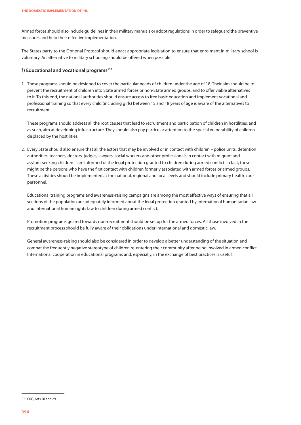Armed forces should also include guidelines in their military manuals or adopt regulations in order to safeguard the preventive measures and help their effective implementation.

The States party to the Optional Protocol should enact appropriate legislation to ensure that enrolment in military school is voluntary. An alternative to military schooling should be offered when possible.

# **f) Educational and vocational programs123**

1. These programs should be designed to cover the particular needs of children under the age of 18. Their aim should be to prevent the recruitment of children into State armed forces or non-State armed groups, and to offer viable alternatives to it. To this end, the national authorities should ensure access to free basic education and implement vocational and professional training so that every child (including girls) between 15 and 18 years of age is aware of the alternatives to recruitment.

These programs should address all the root causes that lead to recruitment and participation of children in hostilities, and as such, aim at developing infrastructure. They should also pay particular attention to the special vulnerability of children displaced by the hostilities.

2. Every State should also ensure that all the actors that may be involved or in contact with children – police units, detention authorities, teachers, doctors, judges, lawyers, social workers and other professionals in contact with migrant and asylum-seeking children – are informed of the legal protection granted to children during armed conflict. In fact, these might be the persons who have the first contact with children formerly associated with armed forces or armed groups. These activities should be implemented at the national, regional and local levels and should include primary health-care personnel.

Educational training programs and awareness-raising campaigns are among the most effective ways of ensuring that all sections of the population are adequately informed about the legal protection granted by international humanitarian law and international human rights law to children during armed conflict.

Promotion programs geared towards non-recruitment should be set up for the armed forces. All those involved in the recruitment process should be fully aware of their obligations under international and domestic law.

General awareness-raising should also be considered in order to develop a better understanding of the situation and combat the frequently negative stereotype of children re-entering their community after being involved in armed conflict. International cooperation in educational programs and, especially, in the exchange of best practices is useful.

<sup>&</sup>lt;sup>123</sup> CRC, Arts 28 and 29.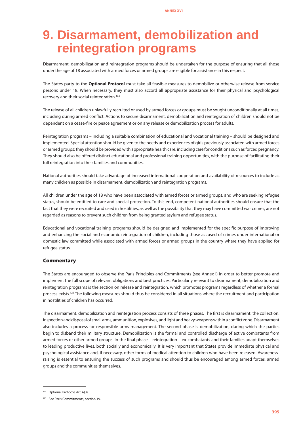# **9. Disarmament, demobilization and reintegration programs**

Disarmament, demobilization and reintegration programs should be undertaken for the purpose of ensuring that all those under the age of 18 associated with armed forces or armed groups are eligible for assistance in this respect.

The States party to the **Optional Protocol** must take all feasible measures to demobilize or otherwise release from service persons under 18. When necessary, they must also accord all appropriate assistance for their physical and psychological recovery and their social reintegration.<sup>124</sup>

The release of all children unlawfully recruited or used by armed forces or groups must be sought unconditionally at all times, including during armed conflict. Actions to secure disarmament, demobilization and reintegration of children should not be dependent on a cease-fire or peace agreement or on any release or demobilization process for adults.

Reintegration programs – including a suitable combination of educational and vocational training – should be designed and implemented. Special attention should be given to the needs and experiences of girls previously associated with armed forces or armed groups: they should be provided with appropriate health care, including care for conditions such as forced pregnancy. They should also be offered distinct educational and professional training opportunities, with the purpose of facilitating their full reintegration into their families and communities.

National authorities should take advantage of increased international cooperation and availability of resources to include as many children as possible in disarmament, demobilization and reintegration programs.

All children under the age of 18 who have been associated with armed forces or armed groups, and who are seeking refugee status, should be entitled to care and special protection. To this end, competent national authorities should ensure that the fact that they were recruited and used in hostilities, as well as the possibility that they may have committed war crimes, are not regarded as reasons to prevent such children from being granted asylum and refugee status.

Educational and vocational training programs should be designed and implemented for the specific purpose of improving and enhancing the social and economic reintegration of children, including those accused of crimes under international or domestic law committed while associated with armed forces or armed groups in the country where they have applied for refugee status.

# Commentary

The States are encouraged to observe the Paris Principles and Commitments (see Annex I) in order to better promote and implement the full scope of relevant obligations and best practices. Particularly relevant to disarmament, demobilization and reintegration programs is the section on release and reintegration, which promotes programs regardless of whether a formal process exists.<sup>125</sup> The following measures should thus be considered in all situations where the recruitment and participation in hostilities of children has occurred.

The disarmament, demobilization and reintegration process consists of three phases. The first is disarmament: the collection, inspection and disposal of small arms, ammunition, explosives, and light and heavy weapons within a conflict zone. Disarmament also includes a process for responsible arms management. The second phase is demobilization, during which the parties begin to disband their military structure. Demobilization is the formal and controlled discharge of active combatants from armed forces or other armed groups. In the final phase – reintegration – ex-combatants and their families adapt themselves to leading productive lives, both socially and economically. It is very important that States provide immediate physical and psychological assistance and, if necessary, other forms of medical attention to children who have been released. Awarenessraising is essential to ensuring the success of such programs and should thus be encouraged among armed forces, armed groups and the communities themselves.

<sup>124</sup> Optional Protocol, Art. 6(3).

<sup>&</sup>lt;sup>125</sup> See Paris Commitments, section 19.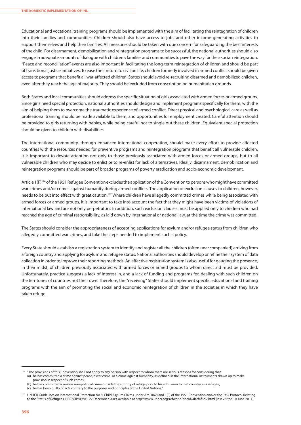Educational and vocational training programs should be implemented with the aim of facilitating the reintegration of children into their families and communities. Children should also have access to jobs and other income-generating activities to support themselves and help their families. All measures should be taken with due concern for safeguarding the best interests of the child. For disarmament, demobilization and reintegration programs to be successful, the national authorities should also engage in adequate amounts of dialogue with children's families and communities to pave the way for their social reintegration. "Peace and reconciliation" events are also important in facilitating the long-term reintegration of children and should be part of transitional justice initiatives. To ease their return to civilian life, children formerly involved in armed conflict should be given access to programs that benefit all war-affected children. States should avoid re-recruiting disarmed and demobilized children, even after they reach the age of majority. They should be excluded from conscription on humanitarian grounds.

Both States and local communities should address the specific situation of girls associated with armed forces or armed groups. Since girls need special protection, national authorities should design and implement programs specifically for them, with the aim of helping them to overcome the traumatic experience of armed conflict. Direct physical and psychological care as well as professional training should be made available to them, and opportunities for employment created. Careful attention should be provided to girls returning with babies, while being careful not to single out these children. Equivalent special protection should be given to children with disabilities.

The international community, through enhanced international cooperation, should make every effort to provide affected countries with the resources needed for preventive programs and reintegration programs that benefit all vulnerable children. It is important to devote attention not only to those previously associated with armed forces or armed groups, but to all vulnerable children who may decide to enlist or to re-enlist for lack of alternatives. Ideally, disarmament, demobilization and reintegration programs should be part of broader programs of poverty eradication and socio-economic development.

Article 1(F)<sup>126</sup> of the 1951 Refugee Convention excludes the application of the Convention to persons who might have committed war crimes and/or crimes against humanity during armed conflicts. The application of exclusion clauses to children, however, needs to be put into effect with great caution.<sup>127</sup> Where children have allegedly committed crimes while being associated with armed forces or armed groups, it is important to take into account the fact that they might have been victims of violations of international law and are not only perpetrators. In addition, such exclusion clauses must be applied only to children who had reached the age of criminal responsibility, as laid down by international or national law, at the time the crime was committed.

The States should consider the appropriateness of accepting applications for asylum and/or refugee status from children who allegedly committed war crimes, and take the steps needed to implement such a policy.

Every State should establish a registration system to identify and register all the children (often unaccompanied) arriving from a foreign country and applying for asylum and refugee status. National authorities should develop or refine their system of data collection in order to improve their reporting methods. An effective registration system is also useful for gauging the presence, in their midst, of children previously associated with armed forces or armed groups to whom direct aid must be provided. Unfortunately, practice suggests a lack of interest in, and a lack of funding and programs for, dealing with such children on the territories of countries not their own. Therefore, the "receiving" States should implement specific educational and training programs with the aim of promoting the social and economic reintegration of children in the societies in which they have taken refuge.

<sup>126</sup> "The provisions of this Convention shall not apply to any person with respect to whom there are serious reasons for considering that:

<sup>(</sup>a) he has committed a crime against peace, a war crime, or a crime against humanity, as defined in the international instruments drawn up to make provision in respect of such crimes;

<sup>(</sup>b) he has committed a serious non-political crime outside the country of refuge prior to his admission to that country as a refugee;

<sup>(</sup>c) he has been guilty of acts contrary to the purposes and principles of the United Nations."

<sup>127</sup> UNHCR Guidelines on International Protection No 8: Child Asylum Claims under Art. 1(a2) and 1(F) of the 1951 Convention and/or the1967 Protocol Relating to the Status of Refugees, HRC/GIP/09/08, 22 December 2009, available at http://www.unhcr.org/refworld/docid/4b2f4f6d2.html (last visited 10 June 2011).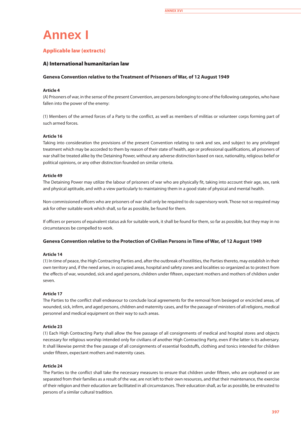# **Annex I**

# Applicable law (extracts)

# A) International humanitarian law

## **Geneva Convention relative to the Treatment of Prisoners of War, of 12 August 1949**

## **Article 4**

(A) Prisoners of war, in the sense of the present Convention, are persons belonging to one of the following categories, who have fallen into the power of the enemy:

(1) Members of the armed forces of a Party to the conflict, as well as members of militias or volunteer corps forming part of such armed forces.

## **Article 16**

Taking into consideration the provisions of the present Convention relating to rank and sex, and subject to any privileged treatment which may be accorded to them by reason of their state of health, age or professional qualifications, all prisoners of war shall be treated alike by the Detaining Power, without any adverse distinction based on race, nationality, religious belief or political opinions, or any other distinction founded on similar criteria.

## **Article 49**

The Detaining Power may utilize the labour of prisoners of war who are physically fit, taking into account their age, sex, rank and physical aptitude, and with a view particularly to maintaining them in a good state of physical and mental health.

Non-commissioned officers who are prisoners of war shall only be required to do supervisory work. Those not so required may ask for other suitable work which shall, so far as possible, be found for them.

If officers or persons of equivalent status ask for suitable work, it shall be found for them, so far as possible, but they may in no circumstances be compelled to work.

## **Geneva Convention relative to the Protection of Civilian Persons in Time of War, of 12 August 1949**

## **Article 14**

(1) In time of peace, the High Contracting Parties and, after the outbreak of hostilities, the Parties thereto, may establish in their own territory and, if the need arises, in occupied areas, hospital and safety zones and localities so organized as to protect from the effects of war, wounded, sick and aged persons, children under fifteen, expectant mothers and mothers of children under seven.

## **Article 17**

The Parties to the conflict shall endeavour to conclude local agreements for the removal from besieged or encircled areas, of wounded, sick, infirm, and aged persons, children and maternity cases, and for the passage of ministers of all religions, medical personnel and medical equipment on their way to such areas.

## **Article 23**

(1) Each High Contracting Party shall allow the free passage of all consignments of medical and hospital stores and objects necessary for religious worship intended only for civilians of another High Contracting Party, even if the latter is its adversary. It shall likewise permit the free passage of all consignments of essential foodstuffs, clothing and tonics intended for children under fifteen, expectant mothers and maternity cases.

#### **Article 24**

The Parties to the conflict shall take the necessary measures to ensure that children under fifteen, who are orphaned or are separated from their families as a result of the war, are not left to their own resources, and that their maintenance, the exercise of their religion and their education are facilitated in all circumstances. Their education shall, as far as possible, be entrusted to persons of a similar cultural tradition.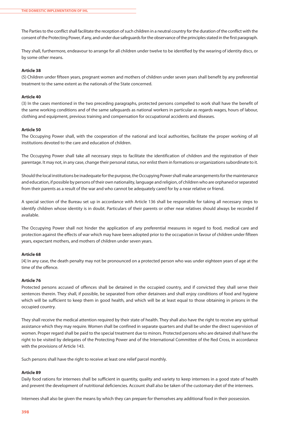The Parties to the conflict shall facilitate the reception of such children in a neutral country for the duration of the conflict with the consent of the Protecting Power, if any, and under due safeguards for the observance of the principles stated in the first paragraph.

They shall, furthermore, endeavour to arrange for all children under twelve to be identified by the wearing of identity discs, or by some other means.

#### **Article 38**

(5) Children under fifteen years, pregnant women and mothers of children under seven years shall benefit by any preferential treatment to the same extent as the nationals of the State concerned.

## **Article 40**

(3) In the cases mentioned in the two preceding paragraphs, protected persons compelled to work shall have the benefit of the same working conditions and of the same safeguards as national workers in particular as regards wages, hours of labour, clothing and equipment, previous training and compensation for occupational accidents and diseases.

## **Article 50**

The Occupying Power shall, with the cooperation of the national and local authorities, facilitate the proper working of all institutions devoted to the care and education of children.

The Occupying Power shall take all necessary steps to facilitate the identification of children and the registration of their parentage. It may not, in any case, change their personal status, nor enlist them in formations or organizations subordinate to it.

Should the local institutions be inadequate for the purpose, the Occupying Power shall make arrangements for the maintenance and education, if possible by persons of their own nationality, language and religion, of children who are orphaned or separated from their parents as a result of the war and who cannot be adequately cared for by a near relative or friend.

A special section of the Bureau set up in accordance with Article 136 shall be responsible for taking all necessary steps to identify children whose identity is in doubt. Particulars of their parents or other near relatives should always be recorded if available.

The Occupying Power shall not hinder the application of any preferential measures in regard to food, medical care and protection against the effects of war which may have been adopted prior to the occupation in favour of children under fifteen years, expectant mothers, and mothers of children under seven years.

#### **Article 68**

[4] In any case, the death penalty may not be pronounced on a protected person who was under eighteen years of age at the time of the offence.

#### **Article 76**

Protected persons accused of offences shall be detained in the occupied country, and if convicted they shall serve their sentences therein. They shall, if possible, be separated from other detainees and shall enjoy conditions of food and hygiene which will be sufficient to keep them in good health, and which will be at least equal to those obtaining in prisons in the occupied country.

They shall receive the medical attention required by their state of health. They shall also have the right to receive any spiritual assistance which they may require. Women shall be confined in separate quarters and shall be under the direct supervision of women. Proper regard shall be paid to the special treatment due to minors. Protected persons who are detained shall have the right to be visited by delegates of the Protecting Power and of the International Committee of the Red Cross, in accordance with the provisions of Article 143.

Such persons shall have the right to receive at least one relief parcel monthly.

# **Article 89**

Daily food rations for internees shall be sufficient in quantity, quality and variety to keep internees in a good state of health and prevent the development of nutritional deficiencies. Account shall also be taken of the customary diet of the internees.

Internees shall also be given the means by which they can prepare for themselves any additional food in their possession.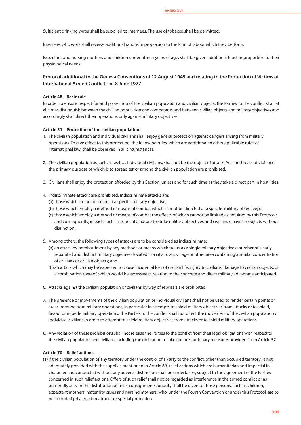Sufficient drinking water shall be supplied to internees. The use of tobacco shall be permitted.

Internees who work shall receive additional rations in proportion to the kind of labour which they perform.

Expectant and nursing mothers and children under fifteen years of age, shall be given additional food, in proportion to their physiological needs.

# **Protocol additional to the Geneva Conventions of 12 August 1949 and relating to the Protection of Victims of International Armed Conflicts, of 8 June 1977**

# **Article 48 – Basic rule**

In order to ensure respect for and protection of the civilian population and civilian objects, the Parties to the conflict shall at all times distinguish between the civilian population and combatants and between civilian objects and military objectives and accordingly shall direct their operations only against military objectives.

## **Article 51 – Protection of the civilian population**

- 1. The civilian population and individual civilians shall enjoy general protection against dangers arising from military operations. To give effect to this protection, the following rules, which are additional to other applicable rules of international law, shall be observed in all circumstances.
- 2. The civilian population as such, as well as individual civilians, shall not be the object of attack. Acts or threats of violence the primary purpose of which is to spread terror among the civilian population are prohibited.
- 3. Civilians shall enjoy the protection afforded by this Section, unless and for such time as they take a direct part in hostilities.
- 4. Indiscriminate attacks are prohibited. Indiscriminate attacks are:

(a) those which are not directed at a specific military objective;

(b)those which employ a method or means of combat which cannot be directed at a specific military objective; or

- (c) those which employ a method or means of combat the effects of which cannot be limited as required by this Protocol; and consequently, in each such case, are of a nature to strike military objectives and civilians or civilian objects without distinction.
- 5. Among others, the following types of attacks are to be considered as indiscriminate:
	- (a) an attack by bombardment by any methods or means which treats as a single military objective a number of clearly separated and distinct military objectives located in a city, town, village or other area containing a similar concentration of civilians or civilian objects; and
	- (b) an attack which may be expected to cause incidental loss of civilian life, injury to civilians, damage to civilian objects, or a combination thereof, which would be excessive in relation to the concrete and direct military advantage anticipated.
- 6. Attacks against the civilian population or civilians by way of reprisals are prohibited.
- 7. The presence or movements of the civilian population or individual civilians shall not be used to render certain points or areas immune from military operations, in particular in attempts to shield military objectives from attacks or to shield, favour or impede military operations. The Parties to the conflict shall not direct the movement of the civilian population or individual civilians in order to attempt to shield military objectives from attacks or to shield military operations.
- 8. Any violation of these prohibitions shall not release the Parties to the conflict from their legal obligations with respect to the civilian population and civilians, including the obligation to take the precautionary measures provided for in Article 57.

#### **Article 70 – Relief actions**

(1) If the civilian population of any territory under the control of a Party to the conflict, other than occupied territory, is not adequately provided with the supplies mentioned in Article 69, relief actions which are humanitarian and impartial in character and conducted without any adverse distinction shall be undertaken, subject to the agreement of the Parties concerned in such relief actions. Offers of such relief shall not be regarded as interference in the armed conflict or as unfriendly acts. In the distribution of relief consignments, priority shall be given to those persons, such as children, expectant mothers, maternity cases and nursing mothers, who, under the Fourth Convention or under this Protocol, are to be accorded privileged treatment or special protection.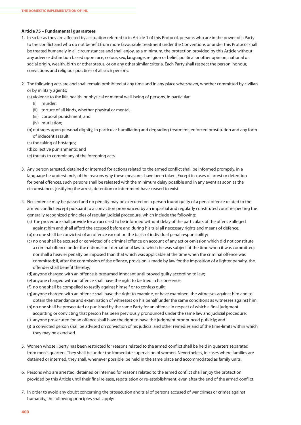## **Article 75 – Fundamental guarantees**

- 1. In so far as they are affected by a situation referred to in Article 1 of this Protocol, persons who are in the power of a Party to the conflict and who do not benefit from more favourable treatment under the Conventions or under this Protocol shall be treated humanely in all circumstances and shall enjoy, as a minimum, the protection provided by this Article without any adverse distinction based upon race, colour, sex, language, religion or belief, political or other opinion, national or social origin, wealth, birth or other status, or on any other similar criteria. Each Party shall respect the person, honour, convictions and religious practices of all such persons.
- 2. The following acts are and shall remain prohibited at any time and in any place whatsoever, whether committed by civilian or by military agents:
	- (a) violence to the life, health, or physical or mental well-being of persons, in particular:
		- (i) murder;
		- (ii) torture of all kinds, whether physical or mental;
		- (iii) corporal punishment; and
		- (iv) mutilation;
	- (b)outrages upon personal dignity, in particular humiliating and degrading treatment, enforced prostitution and any form of indecent assault;
	- (c) the taking of hostages;
	- (d) collective punishments; and
	- (e) threats to commit any of the foregoing acts.
- 3. Any person arrested, detained or interned for actions related to the armed conflict shall be informed promptly, in a language he understands, of the reasons why these measures have been taken. Except in cases of arrest or detention for penal offences, such persons shall be released with the minimum delay possible and in any event as soon as the circumstances justifying the arrest, detention or internment have ceased to exist.
- 4. No sentence may be passed and no penalty may be executed on a person found guilty of a penal offence related to the armed conflict except pursuant to a conviction pronounced by an impartial and regularly constituted court respecting the generally recognized principles of regular judicial procedure, which include the following:
	- (a) the procedure shall provide for an accused to be informed without delay of the particulars of the offence alleged against him and shall afford the accused before and during his trial all necessary rights and means of defence;
	- (b)no one shall be convicted of an offence except on the basis of individual penal responsibility;
	- (c) no one shall be accused or convicted of a criminal offence on account of any act or omission which did not constitute a criminal offence under the national or international law to which he was subject at the time when it was committed; nor shall a heavier penalty be imposed than that which was applicable at the time when the criminal offence was committed; if, after the commission of the offence, provision is made by law for the imposition of a lighter penalty, the offender shall benefit thereby;
	- (d) anyone charged with an offence is presumed innocent until proved guilty according to law;
	- (e) anyone charged with an offence shall have the right to be tried in his presence;
	- (f) no one shall be compelled to testify against himself or to confess guilt;
	- (g) anyone charged with an offence shall have the right to examine, or have examined, the witnesses against him and to obtain the attendance and examination of witnesses on his behalf under the same conditions as witnesses against him;
	- (h)no one shall be prosecuted or punished by the same Party for an offence in respect of which a final judgment acquitting or convicting that person has been previously pronounced under the same law and judicial procedure;
	- (i) anyone prosecuted for an offence shall have the right to have the judgment pronounced publicly; and
	- (j) a convicted person shall be advised on conviction of his judicial and other remedies and of the time-limits within which they may be exercised.
- 5. Women whose liberty has been restricted for reasons related to the armed conflict shall be held in quarters separated from men's quarters. They shall be under the immediate supervision of women. Nevertheless, in cases where families are detained or interned, they shall, whenever possible, be held in the same place and accommodated as family units.
- 6. Persons who are arrested, detained or interned for reasons related to the armed conflict shall enjoy the protection provided by this Article until their final release, repatriation or re-establishment, even after the end of the armed conflict.
- 7. In order to avoid any doubt concerning the prosecution and trial of persons accused of war crimes or crimes against humanity, the following principles shall apply: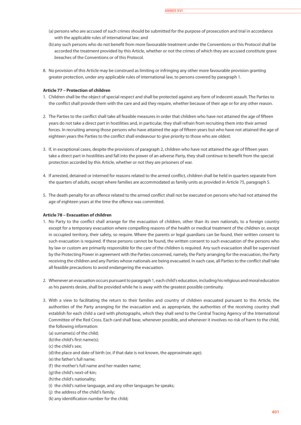- (a) persons who are accused of such crimes should be submitted for the purpose of prosecution and trial in accordance with the applicable rules of international law; and
- (b) any such persons who do not benefit from more favourable treatment under the Conventions or this Protocol shall be accorded the treatment provided by this Article, whether or not the crimes of which they are accused constitute grave breaches of the Conventions or of this Protocol.
- 8. No provision of this Article may be construed as limiting or infringing any other more favourable provision granting greater protection, under any applicable rules of international law, to persons covered by paragraph 1.

## **Article 77 – Protection of children**

- 1. Children shall be the object of special respect and shall be protected against any form of indecent assault. The Parties to the conflict shall provide them with the care and aid they require, whether because of their age or for any other reason.
- 2. The Parties to the conflict shall take all feasible measures in order that children who have not attained the age of fifteen years do not take a direct part in hostilities and, in particular, they shall refrain from recruiting them into their armed forces. In recruiting among those persons who have attained the age of fifteen years but who have not attained the age of eighteen years the Parties to the conflict shall endeavour to give priority to those who are oldest.
- 3. If, in exceptional cases, despite the provisions of paragraph 2, children who have not attained the age of fifteen years take a direct part in hostilities and fall into the power of an adverse Party, they shall continue to benefit from the special protection accorded by this Article, whether or not they are prisoners of war.
- 4. If arrested, detained or interned for reasons related to the armed conflict, children shall be held in quarters separate from the quarters of adults, except where families are accommodated as family units as provided in Article 75, paragraph 5.
- 5. The death penalty for an offence related to the armed conflict shall not be executed on persons who had not attained the age of eighteen years at the time the offence was committed.

#### **Article 78 – Evacuation of children**

- 1. No Party to the conflict shall arrange for the evacuation of children, other than its own nationals, to a foreign country except for a temporary evacuation where compelling reasons of the health or medical treatment of the children or, except in occupied territory, their safety, so require. Where the parents or legal guardians can be found, their written consent to such evacuation is required. If these persons cannot be found, the written consent to such evacuation of the persons who by law or custom are primarily responsible for the care of the children is required. Any such evacuation shall be supervised by the Protecting Power in agreement with the Parties concerned, namely, the Party arranging for the evacuation, the Party receiving the children and any Parties whose nationals are being evacuated. In each case, all Parties to the conflict shall take all feasible precautions to avoid endangering the evacuation.
- 2. Whenever an evacuation occurs pursuant to paragraph 1, each child's education, including his religious and moral education as his parents desire, shall be provided while he is away with the greatest possible continuity.
- 3. With a view to facilitating the return to their families and country of children evacuated pursuant to this Article, the authorities of the Party arranging for the evacuation and, as appropriate, the authorities of the receiving country shall establish for each child a card with photographs, which they shall send to the Central Tracing Agency of the International Committee of the Red Cross. Each card shall bear, whenever possible, and whenever it involves no risk of harm to the child, the following information:

(a) surname(s) of the child;

- (b) the child's first name(s);
- (c) the child's sex;
- (d) the place and date of birth (or, if that date is not known, the approximate age);
- (e) the father's full name;
- (f) the mother's full name and her maiden name;
- (g) the child's next-of-kin;
- (h) the child's nationality;
- (i) the child's native language, and any other languages he speaks;
- (j) the address of the child's family;
- (k) any identification number for the child;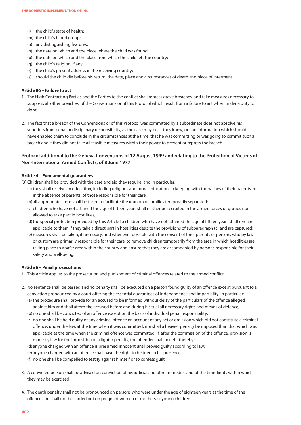- (l) the child's state of health;
- (m) the child's blood group;
- (n) any distinguishing features;
- (o) the date on which and the place where the child was found;
- (p) the date on which and the place from which the child left the country;
- (q) the child's religion, if any;
- (r) the child's present address in the receiving country;
- (s) should the child die before his return, the date, place and circumstances of death and place of interment.

## **Article 86 – Failure to act**

- 1. The High Contracting Parties and the Parties to the conflict shall repress grave breaches, and take measures necessary to suppress all other breaches, of the Conventions or of this Protocol which result from a failure to act when under a duty to do so.
- 2. The fact that a breach of the Conventions or of this Protocol was committed by a subordinate does not absolve his superiors from penal or disciplinary responsibility, as the case may be, if they knew, or had information which should have enabled them to conclude in the circumstances at the time, that he was committing or was going to commit such a breach and if they did not take all feasible measures within their power to prevent or repress the breach.

# **Protocol additional to the Geneva Conventions of 12 August 1949 and relating to the Protection of Victims of Non-International Armed Conflicts, of 8 June 1977**

# **Article 4 – Fundamental guarantees**

- (3) Children shall be provided with the care and aid they require, and in particular:
	- (a) they shall receive an education, including religious and moral education, in keeping with the wishes of their parents, or in the absence of parents, of those responsible for their care;
	- (b) all appropriate steps shall be taken to facilitate the reunion of families temporarily separated;
	- (c) children who have not attained the age of fifteen years shall neither be recruited in the armed forces or groups nor allowed to take part in hostilities;
	- (d) the special protection provided by this Article to children who have not attained the age of fifteen years shall remain applicable to them if they take a direct part in hostilities despite the provisions of subparagraph (c) and are captured;
	- (e) measures shall be taken, if necessary, and whenever possible with the consent of their parents or persons who by law or custom are primarily responsible for their care, to remove children temporarily from the area in which hostilities are taking place to a safer area within the country and ensure that they are accompanied by persons responsible for their safety and well-being.

## **Article 6 – Penal prosecutions**

- 1. This Article applies to the prosecution and punishment of criminal offences related to the armed conflict.
- 2. No sentence shall be passed and no penalty shall be executed on a person found guilty of an offence except pursuant to a conviction pronounced by a court offering the essential guarantees of independence and impartiality. In particular:
	- (a) the procedure shall provide for an accused to be informed without delay of the particulars of the offence alleged against him and shall afford the accused before and during his trial all necessary rights and means of defence;
	- (b)no one shall be convicted of an offence except on the basis of individual penal responsibility;
	- (c) no one shall be held guilty of any criminal offence on account of any act or omission which did not constitute a criminal offence, under the law, at the time when it was committed; nor shall a heavier penalty be imposed than that which was applicable at the time when the criminal offence was committed; if, after the commission of the offence, provision is made by law for the imposition of a lighter penalty, the offender shall benefit thereby;
	- (d) anyone charged with an offence is presumed innocent until proved guilty according to law;
	- (e) anyone charged with an offence shall have the right to be tried in his presence;
	- (f) no one shall be compelled to testify against himself or to confess guilt.
- 3. A convicted person shall be advised on conviction of his judicial and other remedies and of the time-limits within which they may be exercised.
- 4. The death penalty shall not be pronounced on persons who were under the age of eighteen years at the time of the offence and shall not be carried out on pregnant women or mothers of young children.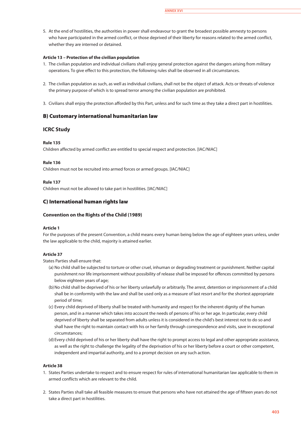5. At the end of hostilities, the authorities in power shall endeavour to grant the broadest possible amnesty to persons who have participated in the armed conflict, or those deprived of their liberty for reasons related to the armed conflict, whether they are interned or detained.

# **Article 13 – Protection of the civilian population**

- 1. The civilian population and individual civilians shall enjoy general protection against the dangers arising from military operations. To give effect to this protection, the following rules shall be observed in all circumstances.
- 2. The civilian population as such, as well as individual civilians, shall not be the object of attack. Acts or threats of violence the primary purpose of which is to spread terror among the civilian population are prohibited.
- 3. Civilians shall enjoy the protection afforded by this Part, unless and for such time as they take a direct part in hostilities.

# B) Customary international humanitarian law

# **ICRC Study**

## **Rule 135**

Children affected by armed conflict are entitled to special respect and protection. [IAC/NIAC]

## **Rule 136**

Children must not be recruited into armed forces or armed groups. [IAC/NIAC]

## **Rule 137**

Children must not be allowed to take part in hostilities. [IAC/NIAC]

# C) International human rights law

# **Convention on the Rights of the Child (1989)**

## **Article 1**

For the purposes of the present Convention, a child means every human being below the age of eighteen years unless, under the law applicable to the child, majority is attained earlier.

# **Article 37**

States Parties shall ensure that:

- (a) No child shall be subjected to torture or other cruel, inhuman or degrading treatment or punishment. Neither capital punishment nor life imprisonment without possibility of release shall be imposed for offences committed by persons below eighteen years of age;
- (b)No child shall be deprived of his or her liberty unlawfully or arbitrarily. The arrest, detention or imprisonment of a child shall be in conformity with the law and shall be used only as a measure of last resort and for the shortest appropriate period of time;
- (c) Every child deprived of liberty shall be treated with humanity and respect for the inherent dignity of the human person, and in a manner which takes into account the needs of persons of his or her age. In particular, every child deprived of liberty shall be separated from adults unless it is considered in the child's best interest not to do so and shall have the right to maintain contact with his or her family through correspondence and visits, save in exceptional circumstances;
- (d) Every child deprived of his or her liberty shall have the right to prompt access to legal and other appropriate assistance, as well as the right to challenge the legality of the deprivation of his or her liberty before a court or other competent, independent and impartial authority, and to a prompt decision on any such action.

## **Article 38**

- 1. States Parties undertake to respect and to ensure respect for rules of international humanitarian law applicable to them in armed conflicts which are relevant to the child.
- 2. States Parties shall take all feasible measures to ensure that persons who have not attained the age of fifteen years do not take a direct part in hostilities.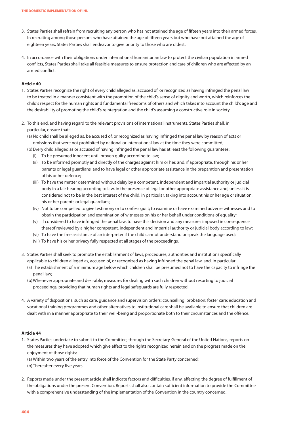- 3. States Parties shall refrain from recruiting any person who has not attained the age of fifteen years into their armed forces. In recruiting among those persons who have attained the age of fifteen years but who have not attained the age of eighteen years, States Parties shall endeavor to give priority to those who are oldest.
- 4. In accordance with their obligations under international humanitarian law to protect the civilian population in armed conflicts, States Parties shall take all feasible measures to ensure protection and care of children who are affected by an armed conflict.

## **Article 40**

- 1. States Parties recognize the right of every child alleged as, accused of, or recognized as having infringed the penal law to be treated in a manner consistent with the promotion of the child's sense of dignity and worth, which reinforces the child's respect for the human rights and fundamental freedoms of others and which takes into account the child's age and the desirability of promoting the child's reintegration and the child's assuming a constructive role in society.
- 2. To this end, and having regard to the relevant provisions of international instruments, States Parties shall, in particular, ensure that:

(a) No child shall be alleged as, be accused of, or recognized as having infringed the penal law by reason of acts or omissions that were not prohibited by national or international law at the time they were committed;

- (b) Every child alleged as or accused of having infringed the penal law has at least the following guarantees: (i) To be presumed innocent until proven guilty according to law;
	- (ii) To be informed promptly and directly of the charges against him or her, and, if appropriate, through his or her parents or legal guardians, and to have legal or other appropriate assistance in the preparation and presentation of his or her defence;
	- (iii) To have the matter determined without delay by a competent, independent and impartial authority or judicial body in a fair hearing according to law, in the presence of legal or other appropriate assistance and, unless it is considered not to be in the best interest of the child, in particular, taking into account his or her age or situation, his or her parents or legal guardians;
	- (iv) Not to be compelled to give testimony or to confess guilt; to examine or have examined adverse witnesses and to obtain the participation and examination of witnesses on his or her behalf under conditions of equality;
	- (v) If considered to have infringed the penal law, to have this decision and any measures imposed in consequence thereof reviewed by a higher competent, independent and impartial authority or judicial body according to law;
	- (vi) To have the free assistance of an interpreter if the child cannot understand or speak the language used;
	- (vii) To have his or her privacy fully respected at all stages of the proceedings.
- 3. States Parties shall seek to promote the establishment of laws, procedures, authorities and institutions specifically applicable to children alleged as, accused of, or recognized as having infringed the penal law, and, in particular:
	- (a) The establishment of a minimum age below which children shall be presumed not to have the capacity to infringe the penal law;
	- (b)Whenever appropriate and desirable, measures for dealing with such children without resorting to judicial proceedings, providing that human rights and legal safeguards are fully respected.
- 4. A variety of dispositions, such as care, guidance and supervision orders; counselling; probation; foster care; education and vocational training programmes and other alternatives to institutional care shall be available to ensure that children are dealt with in a manner appropriate to their well-being and proportionate both to their circumstances and the offence.

## **Article 44**

1. States Parties undertake to submit to the Committee, through the Secretary-General of the United Nations, reports on the measures they have adopted which give effect to the rights recognized herein and on the progress made on the enjoyment of those rights:

(a) Within two years of the entry into force of the Convention for the State Party concerned; (b) Thereafter every five years.

2. Reports made under the present article shall indicate factors and difficulties, if any, affecting the degree of fulfillment of the obligations under the present Convention. Reports shall also contain sufficient information to provide the Committee with a comprehensive understanding of the implementation of the Convention in the country concerned.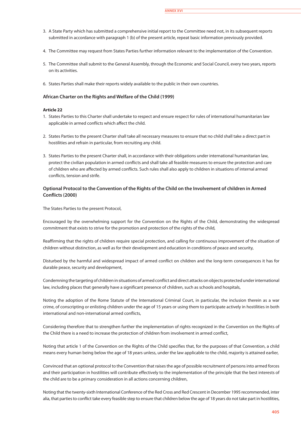- 3. A State Party which has submitted a comprehensive initial report to the Committee need not, in its subsequent reports submitted in accordance with paragraph 1 (b) of the present article, repeat basic information previously provided.
- 4. The Committee may request from States Parties further information relevant to the implementation of the Convention.
- 5. The Committee shall submit to the General Assembly, through the Economic and Social Council, every two years, reports on its activities.
- 6. States Parties shall make their reports widely available to the public in their own countries.

## **African Charter on the Rights and Welfare of the Child (1999)**

## **Article 22**

- 1. States Parties to this Charter shall undertake to respect and ensure respect for rules of international humanitarian law applicable in armed conflicts which affect the child.
- 2. States Parties to the present Charter shall take all necessary measures to ensure that no child shall take a direct part in hostilities and refrain in particular, from recruiting any child.
- 3. States Parties to the present Charter shall, in accordance with their obligations under international humanitarian law, protect the civilian population in armed conflicts and shall take all feasible measures to ensure the protection and care of children who are affected by armed conflicts. Such rules shall also apply to children in situations of internal armed conflicts, tension and strife.

# **Optional Protocol to the Convention of the Rights of the Child on the Involvement of children in Armed Conflicts (2000)**

The States Parties to the present Protocol,

Encouraged by the overwhelming support for the Convention on the Rights of the Child, demonstrating the widespread commitment that exists to strive for the promotion and protection of the rights of the child,

Reaffirming that the rights of children require special protection, and calling for continuous improvement of the situation of children without distinction, as well as for their development and education in conditions of peace and security,

Disturbed by the harmful and widespread impact of armed conflict on children and the long-term consequences it has for durable peace, security and development,

Condemning the targeting of children in situations of armed conflict and direct attacks on objects protected under international law, including places that generally have a significant presence of children, such as schools and hospitals,

Noting the adoption of the Rome Statute of the International Criminal Court, in particular, the inclusion therein as a war crime, of conscripting or enlisting children under the age of 15 years or using them to participate actively in hostilities in both international and non-international armed conflicts,

Considering therefore that to strengthen further the implementation of rights recognized in the Convention on the Rights of the Child there is a need to increase the protection of children from involvement in armed conflict,

Noting that article 1 of the Convention on the Rights of the Child specifies that, for the purposes of that Convention, a child means every human being below the age of 18 years unless, under the law applicable to the child, majority is attained earlier,

Convinced that an optional protocol to the Convention that raises the age of possible recruitment of persons into armed forces and their participation in hostilities will contribute effectively to the implementation of the principle that the best interests of the child are to be a primary consideration in all actions concerning children,

Noting that the twenty-sixth International Conference of the Red Cross and Red Crescent in December 1995 recommended, inter alia, that parties to conflict take every feasible step to ensure that children below the age of 18 years do not take part in hostilities,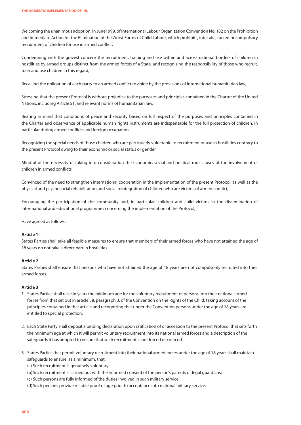Welcoming the unanimous adoption, in June1999, of International Labour Organization Convention No. 182 on the Prohibition and Immediate Action for the Elimination of the Worst Forms of Child Labour, which prohibits, inter alia, forced or compulsory recruitment of children for use in armed conflict,

Condemning with the gravest concern the recruitment, training and use within and across national borders of children in hostilities by armed groups distinct from the armed forces of a State, and recognizing the responsibility of those who recruit, train and use children in this regard,

Recalling the obligation of each party to an armed conflict to abide by the provisions of international humanitarian law,

Stressing that the present Protocol is without prejudice to the purposes and principles contained in the Charter of the United Nations, including Article 51, and relevant norms of humanitarian law,

Bearing in mind that conditions of peace and security based on full respect of the purposes and principles contained in the Charter and observance of applicable human rights instruments are indispensable for the full protection of children, in particular during armed conflicts and foreign occupation,

Recognizing the special needs of those children who are particularly vulnerable to recruitment or use in hostilities contrary to the present Protocol owing to their economic or social status or gender,

Mindful of the necessity of taking into consideration the economic, social and political root causes of the involvement of children in armed conflicts,

Convinced of the need to strengthen international cooperation in the implementation of the present Protocol, as well as the physical and psychosocial rehabilitation and social reintegration of children who are victims of armed conflict,

Encouraging the participation of the community and, in particular, children and child victims in the dissemination of informational and educational programmes concerning the implementation of the Protocol,

Have agreed as follows:

## **Article 1**

States Parties shall take all feasible measures to ensure that members of their armed forces who have not attained the age of 18 years do not take a direct part in hostilities.

## **Article 2**

States Parties shall ensure that persons who have not attained the age of 18 years are not compulsorily recruited into their armed forces.

## **Article 3**

- 1. States Parties shall raise in years the minimum age for the voluntary recruitment of persons into their national armed forces from that set out in article 38, paragraph 3, of the Convention on the Rights of the Child, taking account of the principles contained in that article and recognizing that under the Convention persons under the age of 18 years are entitled to special protection.
- 2. Each State Party shall deposit a binding declaration upon ratification of or accession to the present Protocol that sets forth the minimum age at which it will permit voluntary recruitment into its national armed forces and a description of the safeguards it has adopted to ensure that such recruitment is not forced or coerced.
- 3. States Parties that permit voluntary recruitment into their national armed forces under the age of 18 years shall maintain safeguards to ensure, as a minimum, that:
	- (a) Such recruitment is genuinely voluntary;
	- (b) Such recruitment is carried out with the informed consent of the person's parents or legal guardians;
	- (c) Such persons are fully informed of the duties involved in such military service;
	- (d) Such persons provide reliable proof of age prior to acceptance into national military service.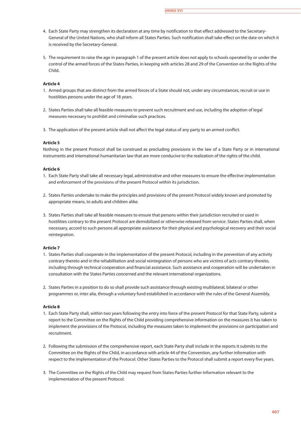- 4. Each State Party may strengthen its declaration at any time by notification to that effect addressed to the Secretary-General of the United Nations, who shall inform all States Parties. Such notification shall take effect on the date on which it is received by the Secretary-General.
- 5. The requirement to raise the age in paragraph 1 of the present article does not apply to schools operated by or under the control of the armed forces of the States Parties, in keeping with articles 28 and 29 of the Convention on the Rights of the Child.

# **Article 4**

- 1. Armed groups that are distinct from the armed forces of a State should not, under any circumstances, recruit or use in hostilities persons under the age of 18 years.
- 2. States Parties shall take all feasible measures to prevent such recruitment and use, including the adoption of legal measures necessary to prohibit and criminalize such practices.
- 3. The application of the present article shall not affect the legal status of any party to an armed conflict.

## **Article 5**

Nothing in the present Protocol shall be construed as precluding provisions in the law of a State Party or in international instruments and international humanitarian law that are more conducive to the realization of the rights of the child.

## **Article 6**

- 1. Each State Party shall take all necessary legal, administrative and other measures to ensure the effective implementation and enforcement of the provisions of the present Protocol within its jurisdiction.
- 2. States Parties undertake to make the principles and provisions of the present Protocol widely known and promoted by appropriate means, to adults and children alike.
- 3. States Parties shall take all feasible measures to ensure that persons within their jurisdiction recruited or used in hostilities contrary to the present Protocol are demobilized or otherwise released from service. States Parties shall, when necessary, accord to such persons all appropriate assistance for their physical and psychological recovery and their social reintegration.

# **Article 7**

- 1. States Parties shall cooperate in the implementation of the present Protocol, including in the prevention of any activity contrary thereto and in the rehabilitation and social reintegration of persons who are victims of acts contrary thereto, including through technical cooperation and financial assistance. Such assistance and cooperation will be undertaken in consultation with the States Parties concerned and the relevant international organizations.
- 2. States Parties in a position to do so shall provide such assistance through existing multilateral, bilateral or other programmes or, inter alia, through a voluntary fund established in accordance with the rules of the General Assembly.

## **Article 8**

- 1. Each State Party shall, within two years following the entry into force of the present Protocol for that State Party, submit a report to the Committee on the Rights of the Child providing comprehensive information on the measures it has taken to implement the provisions of the Protocol, including the measures taken to implement the provisions on participation and recruitment.
- 2. Following the submission of the comprehensive report, each State Party shall include in the reports it submits to the Committee on the Rights of the Child, in accordance with article 44 of the Convention, any further information with respect to the implementation of the Protocol. Other States Parties to the Protocol shall submit a report every five years.
- 3. The Committee on the Rights of the Child may request from States Parties further information relevant to the implementation of the present Protocol.

**annex XVI**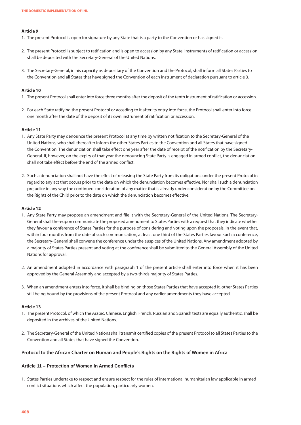#### **Article 9**

- 1. The present Protocol is open for signature by any State that is a party to the Convention or has signed it.
- 2. The present Protocol is subject to ratification and is open to accession by any State. Instruments of ratification or accession shall be deposited with the Secretary-General of the United Nations.
- 3. The Secretary-General, in his capacity as depositary of the Convention and the Protocol, shall inform all States Parties to the Convention and all States that have signed the Convention of each instrument of declaration pursuant to article 3.

## **Article 10**

- 1. The present Protocol shall enter into force three months after the deposit of the tenth instrument of ratification or accession.
- 2. For each State ratifying the present Protocol or acceding to it after its entry into force, the Protocol shall enter into force one month after the date of the deposit of its own instrument of ratification or accession.

## **Article 11**

- 1. Any State Party may denounce the present Protocol at any time by written notification to the Secretary-General of the United Nations, who shall thereafter inform the other States Parties to the Convention and all States that have signed the Convention. The denunciation shall take effect one year after the date of receipt of the notification by the Secretary-General. If, however, on the expiry of that year the denouncing State Party is engaged in armed conflict, the denunciation shall not take effect before the end of the armed conflict.
- 2. Such a denunciation shall not have the effect of releasing the State Party from its obligations under the present Protocol in regard to any act that occurs prior to the date on which the denunciation becomes effective. Nor shall such a denunciation prejudice in any way the continued consideration of any matter that is already under consideration by the Committee on the Rights of the Child prior to the date on which the denunciation becomes effective.

## **Article 12**

- 1. Any State Party may propose an amendment and file it with the Secretary-General of the United Nations. The Secretary-General shall thereupon communicate the proposed amendment to States Parties with a request that they indicate whether they favour a conference of States Parties for the purpose of considering and voting upon the proposals. In the event that, within four months from the date of such communication, at least one third of the States Parties favour such a conference, the Secretary-General shall convene the conference under the auspices of the United Nations. Any amendment adopted by a majority of States Parties present and voting at the conference shall be submitted to the General Assembly of the United Nations for approval.
- 2. An amendment adopted in accordance with paragraph 1 of the present article shall enter into force when it has been approved by the General Assembly and accepted by a two-thirds majority of States Parties.
- 3. When an amendment enters into force, it shall be binding on those States Parties that have accepted it, other States Parties still being bound by the provisions of the present Protocol and any earlier amendments they have accepted.

## **Article 13**

- 1. The present Protocol, of which the Arabic, Chinese, English, French, Russian and Spanish texts are equally authentic, shall be deposited in the archives of the United Nations.
- 2. The Secretary-General of the United Nations shall transmit certified copies of the present Protocol to all States Parties to the Convention and all States that have signed the Convention.

# **Protocol to the African Charter on Human and People's Rights on the Rights of Women in Africa**

## **Article 11 – Protection of Women in Armed Conflicts**

1. States Parties undertake to respect and ensure respect for the rules of international humanitarian law applicable in armed conflict situations which affect the population, particularly women.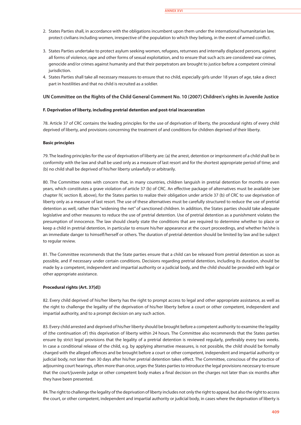**annex XVI**

- 2. States Parties shall, in accordance with the obligations incumbent upon them under the international humanitarian law, protect civilians including women, irrespective of the population to which they belong, in the event of armed conflict.
- 3. States Parties undertake to protect asylum seeking women, refugees, returnees and internally displaced persons, against all forms of violence, rape and other forms of sexual exploitation, and to ensure that such acts are considered war crimes, genocide and/or crimes against humanity and that their perpetrators are brought to justice before a competent criminal jurisdiction.
- 4. States Parties shall take all necessary measures to ensure that no child, especially girls under 18 years of age, take a direct part in hostilities and that no child is recruited as a soldier.

# **UN Committee on the Rights of the Child General Comment No. 10 (2007) Children's rights in Juvenile Justice**

# **F. Deprivation of liberty, including pretrial detention and post-trial incarceration**

78. Article 37 of CRC contains the leading principles for the use of deprivation of liberty, the procedural rights of every child deprived of liberty, and provisions concerning the treatment of and conditions for children deprived of their liberty.

# **Basic principles**

79. The leading principles for the use of deprivation of liberty are: (a) the arrest, detention or imprisonment of a child shall be in conformity with the law and shall be used only as a measure of last resort and for the shortest appropriate period of time; and (b) no child shall be deprived of his/her liberty unlawfully or arbitrarily.

80. The Committee notes with concern that, in many countries, children languish in pretrial detention for months or even years, which constitutes a grave violation of article 37 (b) of CRC. An effective package of alternatives must be available (see chapter IV, section B, above), for the States parties to realize their obligation under article 37 (b) of CRC to use deprivation of liberty only as a measure of last resort. The use of these alternatives must be carefully structured to reduce the use of pretrial detention as well, rather than "widening the net" of sanctioned children. In addition, the States parties should take adequate legislative and other measures to reduce the use of pretrial detention. Use of pretrial detention as a punishment violates the presumption of innocence. The law should clearly state the conditions that are required to determine whether to place or keep a child in pretrial detention, in particular to ensure his/her appearance at the court proceedings, and whether he/she is an immediate danger to himself/herself or others. The duration of pretrial detention should be limited by law and be subject to regular review.

81. The Committee recommends that the State parties ensure that a child can be released from pretrial detention as soon as possible, and if necessary under certain conditions. Decisions regarding pretrial detention, including its duration, should be made by a competent, independent and impartial authority or a judicial body, and the child should be provided with legal or other appropriate assistance.

# **Procedural rights (Art. 37[d])**

82. Every child deprived of his/her liberty has the right to prompt access to legal and other appropriate assistance, as well as the right to challenge the legality of the deprivation of his/her liberty before a court or other competent, independent and impartial authority, and to a prompt decision on any such action.

83. Every child arrested and deprived of his/her liberty should be brought before a competent authority to examine the legality of (the continuation of) this deprivation of liberty within 24 hours. The Committee also recommends that the States parties ensure by strict legal provisions that the legality of a pretrial detention is reviewed regularly, preferably every two weeks. In case a conditional release of the child, e.g. by applying alternative measures, is not possible, the child should be formally charged with the alleged offences and be brought before a court or other competent, independent and impartial authority or judicial body, not later than 30 days after his/her pretrial detention takes effect. The Committee, conscious of the practice of adjourning court hearings, often more than once, urges the States parties to introduce the legal provisions necessary to ensure that the court/juvenile judge or other competent body makes a final decision on the charges not later than six months after they have been presented.

84. The right to challenge the legality of the deprivation of liberty includes not only the right to appeal, but also the right to access the court, or other competent, independent and impartial authority or judicial body, in cases where the deprivation of liberty is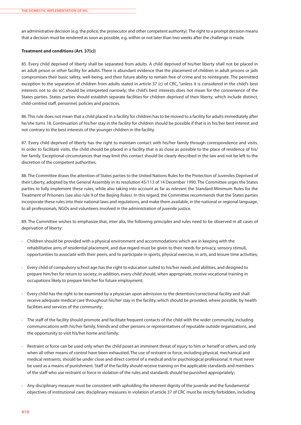an administrative decision (e.g. the police, the prosecutor and other competent authority). The right to a prompt decision means that a decision must be rendered as soon as possible, e.g. within or not later than two weeks after the challenge is made.

## **Treatment and conditions (Art. 37[c])**

85. Every child deprived of liberty shall be separated from adults. A child deprived of his/her liberty shall not be placed in an adult prison or other facility for adults. There is abundant evidence that the placement of children in adult prisons or jails compromises their basic safety, well-being, and their future ability to remain free of crime and to reintegrate. The permitted exception to the separation of children from adults stated in article 37 (c) of CRC, "unless it is considered in the child's best interests not to do so", should be interpreted narrowly; the child's best interests does not mean for the convenience of the States parties. States parties should establish separate facilities for children deprived of their liberty, which include distinct, child-centred staff, personnel, policies and practices.

86. This rule does not mean that a child placed in a facility for children has to be moved to a facility for adults immediately after he/she turns 18. Continuation of his/her stay in the facility for children should be possible if that is in his/her best interest and not contrary to the best interests of the younger children in the facility.

87. Every child deprived of liberty has the right to maintain contact with his/her family through correspondence and visits. In order to facilitate visits, the child should be placed in a facility that is as close as possible to the place of residence of his/ her family. Exceptional circumstances that may limit this contact should be clearly described in the law and not be left to the discretion of the competent authorities.

88. The Committee draws the attention of States parties to the United Nations Rules for the Protection of Juveniles Deprived of their Liberty, adopted by the General Assembly in its resolution 45/113 of 14 December 1990. The Committee urges the States parties to fully implement these rules, while also taking into account as far as relevant the Standard Minimum Rules for the Treatment of Prisoners (see also rule 9 of the Beijing Rules). In this regard, the Committee recommends that the States parties incorporate these rules into their national laws and regulations, and make them available, in the national or regional language, to all professionals, NGOs and volunteers involved in the administration of juvenile justice.

89. The Committee wishes to emphasize that, inter alia, the following principles and rules need to be observed in all cases of deprivation of liberty:

- • Children should be provided with a physical environment and accommodations which are in keeping with the rehabilitative aims of residential placement, and due regard must be given to their needs for privacy, sensory stimuli, opportunities to associate with their peers, and to participate in sports, physical exercise, in arts, and leisure time activities;
- Every child of compulsory school age has the right to education suited to his/her needs and abilities, and designed to prepare him/her for return to society; in addition, every child should, when appropriate, receive vocational training in occupations likely to prepare him/her for future employment;
- Every child has the right to be examined by a physician upon admission to the detention/correctional facility and shall receive adequate medical care throughout his/her stay in the facility, which should be provided, where possible, by health facilities and services of the community;
- The staff of the facility should promote and facilitate frequent contacts of the child with the wider community, including communications with his/her family, friends and other persons or representatives of reputable outside organizations, and the opportunity to visit his/her home and family;
- Restraint or force can be used only when the child poses an imminent threat of injury to him or herself or others, and only when all other means of control have been exhausted. The use of restraint or force, including physical, mechanical and medical restraints, should be under close and direct control of a medical and/or psychological professional. It must never be used as a means of punishment. Staff of the facility should receive training on the applicable standards and members of the staff who use restraint or force in violation of the rules and standards should be punished appropriately;
- Any disciplinary measure must be consistent with upholding the inherent dignity of the juvenile and the fundamental objectives of institutional care; disciplinary measures in violation of article 37 of CRC must be strictly forbidden, including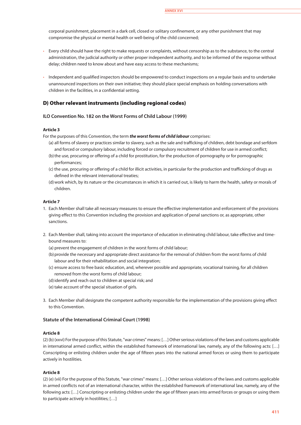**annex XVI**

corporal punishment, placement in a dark cell, closed or solitary confinement, or any other punishment that may compromise the physical or mental health or well-being of the child concerned;

- Every child should have the right to make requests or complaints, without censorship as to the substance, to the central administration, the judicial authority or other proper independent authority, and to be informed of the response without delay; children need to know about and have easy access to these mechanisms;
- Independent and qualified inspectors should be empowered to conduct inspections on a regular basis and to undertake unannounced inspections on their own initiative; they should place special emphasis on holding conversations with children in the facilities, in a confidential setting.

# D) Other relevant instruments (including regional codes)

# **ILO Convention No. 182 on the Worst Forms of Child Labour (1999)**

## **Article 3**

For the purposes of this Convention, the term *the worst forms of child labour* comprises:

- (a) all forms of slavery or practices similar to slavery, such as the sale and trafficking of children, debt bondage and serfdom and forced or compulsory labour, including forced or compulsory recruitment of children for use in armed conflict;
- (b)the use, procuring or offering of a child for prostitution, for the production of pornography or for pornographic performances;
- (c) the use, procuring or offering of a child for illicit activities, in particular for the production and trafficking of drugs as defined in the relevant international treaties;
- (d)work which, by its nature or the circumstances in which it is carried out, is likely to harm the health, safety or morals of children.

## **Article 7**

- 1. Each Member shall take all necessary measures to ensure the effective implementation and enforcement of the provisions giving effect to this Convention including the provision and application of penal sanctions or, as appropriate, other sanctions.
- 2. Each Member shall, taking into account the importance of education in eliminating child labour, take effective and timebound measures to:
	- (a) prevent the engagement of children in the worst forms of child labour;
	- (b) provide the necessary and appropriate direct assistance for the removal of children from the worst forms of child labour and for their rehabilitation and social integration;
	- (c) ensure access to free basic education, and, wherever possible and appropriate, vocational training, for all children removed from the worst forms of child labour;
	- (d) identify and reach out to children at special risk; and
	- (e) take account of the special situation of girls.
- 3. Each Member shall designate the competent authority responsible for the implementation of the provisions giving effect to this Convention.

## **Statute of the International Criminal Court (1998)**

## **Article 8**

(2) (b) (xxvi) For the purpose of this Statute, "war crimes" means: […] Other serious violations of the laws and customs applicable in international armed conflict, within the established framework of international law, namely, any of the following acts: […] Conscripting or enlisting children under the age of fifteen years into the national armed forces or using them to participate actively in hostilities.

## **Article 8**

(2) (e) (vii) For the purpose of this Statute, "war crimes" means: […] Other serious violations of the laws and customs applicable in armed conflicts not of an international character, within the established framework of international law, namely, any of the following acts: […] Conscripting or enlisting children under the age of fifteen years into armed forces or groups or using them to participate actively in hostilities; […]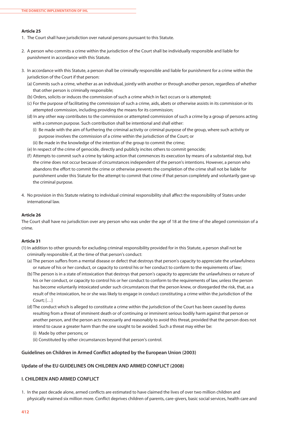# **Article 25**

- 1. The Court shall have jurisdiction over natural persons pursuant to this Statute.
- 2. A person who commits a crime within the jurisdiction of the Court shall be individually responsible and liable for punishment in accordance with this Statute.
- 3. In accordance with this Statute, a person shall be criminally responsible and liable for punishment for a crime within the jurisdiction of the Court if that person:
	- (a) Commits such a crime, whether as an individual, jointly with another or through another person, regardless of whether that other person is criminally responsible;
	- (b) Orders, solicits or induces the commission of such a crime which in fact occurs or is attempted;
	- (c) For the purpose of facilitating the commission of such a crime, aids, abets or otherwise assists in its commission or its attempted commission, including providing the means for its commission;
	- (d) In any other way contributes to the commission or attempted commission of such a crime by a group of persons acting with a common purpose. Such contribution shall be intentional and shall either:
		- (i) Be made with the aim of furthering the criminal activity or criminal purpose of the group, where such activity or purpose involves the commission of a crime within the jurisdiction of the Court; or
		- (ii) Be made in the knowledge of the intention of the group to commit the crime;
	- (e) In respect of the crime of genocide, directly and publicly incites others to commit genocide;
	- (f) Attempts to commit such a crime by taking action that commences its execution by means of a substantial step, but the crime does not occur because of circumstances independent of the person's intentions. However, a person who abandons the effort to commit the crime or otherwise prevents the completion of the crime shall not be liable for punishment under this Statute for the attempt to commit that crime if that person completely and voluntarily gave up the criminal purpose.
- 4. No provision in this Statute relating to individual criminal responsibility shall affect the responsibility of States under international law.

## **Article 26**

The Court shall have no jurisdiction over any person who was under the age of 18 at the time of the alleged commission of a crime.

#### **Article 31**

- (1) In addition to other grounds for excluding criminal responsibility provided for in this Statute, a person shall not be criminally responsible if, at the time of that person's conduct:
	- (a) The person suffers from a mental disease or defect that destroys that person's capacity to appreciate the unlawfulness or nature of his or her conduct, or capacity to control his or her conduct to conform to the requirements of law;
	- (b) The person is in a state of intoxication that destroys that person's capacity to appreciate the unlawfulness or nature of his or her conduct, or capacity to control his or her conduct to conform to the requirements of law, unless the person has become voluntarily intoxicated under such circumstances that the person knew, or disregarded the risk, that, as a result of the intoxication, he or she was likely to engage in conduct constituting a crime within the jurisdiction of the Court; […]
	- (d) The conduct which is alleged to constitute a crime within the jurisdiction of the Court has been caused by duress resulting from a threat of imminent death or of continuing or imminent serious bodily harm against that person or another person, and the person acts necessarily and reasonably to avoid this threat, provided that the person does not intend to cause a greater harm than the one sought to be avoided. Such a threat may either be: (i) Made by other persons; or
		- (ii) Constituted by other circumstances beyond that person's control.

## **Guidelines on Children in Armed Conflict adopted by the European Union (2003)**

## **Update of the EU GUIDELINES ON CHILDREN AND ARMED CONFLICT (2008)**

# **I. CHILDREN AND ARMED CONFLICT**

1. In the past decade alone, armed conflicts are estimated to have claimed the lives of over two million children and physically maimed six million more. Conflict deprives children of parents, care-givers, basic social services, health care and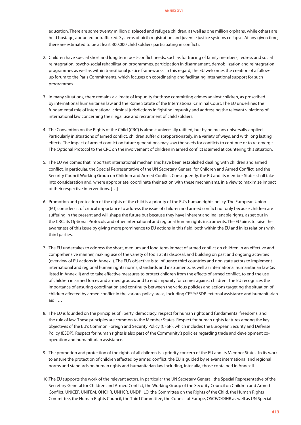**annex XVI**

education. There are some twenty million displaced and refugee children, as well as one million orphans**,** while others are held hostage, abducted or trafficked. Systems of birth registration and juvenile justice systems collapse. At any given time, there are estimated to be at least 300,000 child soldiers participating in conflicts.

- 2. Children have special short and long term post-conflict needs, such as for tracing of family members, redress and social reintegration, psycho-social rehabilitation programmes, participation in disarmament, demobilization and reintegration programmes as well as within transitional justice frameworks. In this regard, the EU welcomes the creation of a followup forum to the Paris Commitments, which focuses on coordinating and facilitating international support for such programmes.
- 3. In many situations, there remains a climate of impunity for those committing crimes against children, as proscribed by international humanitarian law and the Rome Statute of the International Criminal Court. The EU underlines the fundamental role of international criminal jurisdictions in fighting impunity and addressing the relevant violations of international law concerning the illegal use and recruitment of child soldiers.
- 4. The Convention on the Rights of the Child (CRC) is almost universally ratified, but by no means universally applied. Particularly in situations of armed conflict, children suffer disproportionately, in a variety of ways, and with long lasting effects. The impact of armed conflict on future generations may sow the seeds for conflicts to continue or to re-emerge. The Optional Protocol to the CRC on the involvement of children in armed conflict is aimed at countering this situation.
- 5. The EU welcomes that important international mechanisms have been established dealing with children and armed conflict, in particular, the Special Representative of the UN Secretary General for Children and Armed Conflict, and the Security Council Working Group on Children and Armed Conflict. Consequently, the EU and its member States shall take into consideration and, where appropriate, coordinate their action with these mechanisms, in a view to maximize impact of their respective interventions. […]
- 6. Promotion and protection of the rights of the child is a priority of the EU's human rights policy. The European Union (EU) considers it of critical importance to address the issue of children and armed conflict not only because children are suffering in the present and will shape the future but because they have inherent and inalienable rights, as set out in the CRC, its Optional Protocols and other international and regional human rights instruments. The EU aims to raise the awareness of this issue by giving more prominence to EU actions in this field, both within the EU and in its relations with third parties.
- 7. The EU undertakes to address the short, medium and long term impact of armed conflict on children in an effective and comprehensive manner, making use of the variety of tools at its disposal, and building on past and ongoing activities (overview of EU actions in Annex I). The EU's objective is to influence third countries and non state actors to implement international and regional human rights norms, standards and instruments, as well as international humanitarian law (as listed in Annex II) and to take effective measures to protect children from the effects of armed conflict, to end the use of children in armed forces and armed groups, and to end impunity for crimes against children. The EU recognizes the importance of ensuring coordination and continuity between the various policies and actions targeting the situation of children affected by armed conflict in the various policy areas, including CFSP/ESDP, external assistance and humanitarian aid. […]
- 8. The EU is founded on the principles of liberty, democracy, respect for human rights and fundamental freedoms, and the rule of law. These principles are common to the Member States. Respect for human rights features among the key objectives of the EU's Common Foreign and Security Policy (CFSP), which includes the European Security and Defense Policy (ESDP). Respect for human rights is also part of the Community's policies regarding trade and development cooperation and humanitarian assistance.
- 9. The promotion and protection of the rights of all children is a priority concern of the EU and its Member States. In its work to ensure the protection of children affected by armed conflict, the EU is guided by relevant international and regional norms and standards on human rights and humanitarian law including, inter alia, those contained in Annex II.
- 10.The EU supports the work of the relevant actors, in particular the UN Secretary General, the Special Representative of the Secretary General for Children and Armed Conflict, the Working Group of the Security Council on Children and Armed Conflict, UNICEF, UNIFEM, OHCHR, UNHCR, UNDP, ILO, the Committee on the Rights of the Child, the Human Rights Committee, the Human Rights Council, the Third Committee, the Council of Europe, OSCE/ODIHR as well as UN Special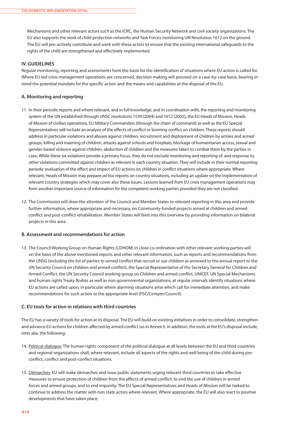Mechanisms and other relevant actors such as the ICRC, the Human Security Network and civil society organizations. The EU also supports the work of child protection networks and Task Forces monitoring UN Resolution 1612 on the ground. The EU will pro-actively contribute and work with these actors to ensure that the existing international safeguards to the rights of the child are strengthened and effectively implemented.

## **IV. GUIDELINES**

Regular monitoring, reporting and assessments form the basis for the identification of situations where EU action is called for. Where EU-led crisis management operations are concerned, decision making will proceed on a case-by-case basis, bearing in mind the potential mandate for the specific action and the means and capabilities at the disposal of the EU.

# **A. Monitoring and reporting**

- 11. In their periodic reports and where relevant, and in full knowledge, and in coordination with, the reporting and monitoring system of the UN established through UNSC resolutions 1539 (2004) and 1612 (2005)**,** the EU Heads of Mission, Heads of Mission of civilian operations, EU Military Commanders (through the chain of command) as well as the EU Special Representatives will include an analysis of the effects of conflict or looming conflict on children. These reports should address in particular violations and abuses against children, recruitment and deployment of children by armies and armed groups, killing and maiming of children, attacks against schools and hospitals, blockage of humanitarian access, sexual and gender-based violence against children, abduction of children and the measures taken to combat them by the parties in case**.** While these six violations provide a primary focus, they do not exclude monitoring and reporting of, and response to, other violations committed against children as relevant in each country situation. They will include in their normal reporting periodic evaluation of the effect and impact of EU actions on children in conflict situations where appropriate. Where relevant, Heads of Mission may prepare *ad hoc* reports on country situations, including an update on the implementation of relevant country strategies which may cover also these issues. Lessons learned from EU crisis management operations may form another important source of information for the competent working parties provided they are not classified.
- 12. The Commission will draw the attention of the Council and Member States to relevant reporting in this area and provide further information, where appropriate and necessary, on Community-funded projects aimed at children and armed conflict and post-conflict rehabilitation. Member States will feed into this overview by providing information on bilateral projects in this area.

# **B. Assessment and recommendations for action**

13. The Council Working Group on Human Rights (COHOM) in close co-ordination with other relevant working parties will on the basis of the above mentioned reports and other relevant information, such as reports and recommendations from the UNSG (including the list of parties to armed conflict that recruit or use children as annexed to the annual report to the UN Security Council on children and armed conflict), the Special Representative of the Secretary General for Children and Armed Conflict, the UN Security Council working group on Children and armed conflict, UNICEF, UN Special Mechanisms and human rights Treaty Bodies as well as non-governmental organizations, at regular intervals identify situations where EU actions are called upon, in particular where alarming situations arise which call for immediate attention, and make recommendations for such action to the appropriate level (PSC/Coreper/Council).

## **C. EU tools for action in relations with third countries**

The EU has a variety of tools for action at its disposal. The EU will build on existing initiatives in order to consolidate, strengthen and advance EU actions for children affected by armed conflict (as in Annex I). In addition, the tools at the EU's disposal include, inter alia, the following:

- 14. Political dialogue: The human rights component of the political dialogue at all levels between the EU and third countries and regional organizations shall, where relevant, include all aspects of the rights and well being of the child during preconflict, conflict and post-conflict situations.
- 15. Démarches: EU will make démarches and issue public statements urging relevant third countries to take effective measures to ensure protection of children from the effects of armed conflict, to end the use of children in armed forces and armed groups, and to end impunity. The EU Special Representatives and Heads of Mission will be tasked to continue to address the matter with non state actors where relevant. Where appropriate, the EU will also react to positive developments that have taken place.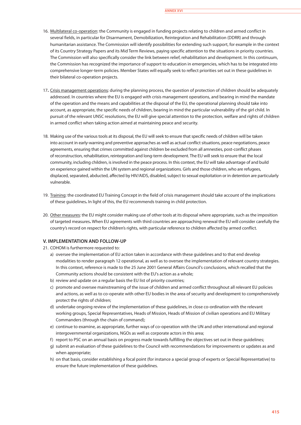- 16. Multilateral co-operation: the Community is engaged in funding projects relating to children and armed conflict in several fields, in particular for Disarmament, Demobilization, Reintegration and Rehabilitation (DDRR) and through humanitarian assistance. The Commission will identify possibilities for extending such support, for example in the context of its Country Strategy Papers and its Mid Term Reviews, paying specific attention to the situations in priority countries. The Commission will also specifically consider the link between relief, rehabilitation and development. In this continuum, the Commission has recognized the importance of support to education in emergencies, which has to be integrated into comprehensive longer-term policies. Member States will equally seek to reflect priorities set out in these guidelines in their bilateral co-operation projects.
- 17**.** Crisis management operations: during the planning process, the question of protection of children should be adequately addressed. In countries where the EU is engaged with crisis management operations, and bearing in mind the mandate of the operation and the means and capabilities at the disposal of the EU, the operational planning should take into account, as appropriate, the specific needs of children, bearing in mind the particular vulnerability of the girl child. In pursuit of the relevant UNSC resolutions, the EU will give special attention to the protection, welfare and rights of children in armed conflict when taking action aimed at maintaining peace and security.
- 18. Making use of the various tools at its disposal, the EU will seek to ensure that specific needs of children will be taken into account in early-warning and preventive approaches as well as actual conflict situations, peace negotiations, peace agreements, ensuring that crimes committed against children be excluded from all amnesties, post-conflict phases of reconstruction, rehabilitation, reintegration and long-term development. The EU will seek to ensure that the local community, including children, is involved in the peace process. In this context, the EU will take advantage of and build on experience gained within the UN system and regional organizations. Girls and those children, who are refugees, displaced, separated, abducted, affected by HIV/AIDS, disabled, subject to sexual exploitation or in detention are particularly vulnerable.
- 19. Training: the coordinated EU Training Concept in the field of crisis management should take account of the implications of these guidelines**.** In light of this, the EU recommends training in child protection.
- 20. Other measures: the EU might consider making use of other tools at its disposal where appropriate, such as the imposition of targeted measures**.** When EU agreements with third countries are approaching renewal the EU will consider carefully the country's record on respect for children's rights, with particular reference to children affected by armed conflict.

## **V. IMPLEMENTATION AND FOLLOW-UP**

- 21. COHOM is furthermore requested to:
	- a) oversee the implementation of EU action taken in accordance with these guidelines and to that end develop modalities to render paragraph 12 operational, as well as to oversee the implementation of relevant country strategies. In this context, reference is made to the 25 June 2001 General Affairs Council's conclusions, which recalled that the Community actions should be consistent with the EU's action as a whole;
	- b) review and update on a regular basis the EU list of priority countries;
	- c) promote and oversee mainstreaming of the issue of children and armed conflict throughout all relevant EU policies and actions, as well as to co-operate with other EU bodies in the area of security and development to comprehensively protect the rights of children;
	- d) undertake ongoing review of the implementation of these guidelines, in close co-ordination with the relevant working groups, Special Representatives, Heads of Mission, Heads of Mission of civilian operations and EU Military Commanders (through the chain of command);
	- e) continue to examine, as appropriate, further ways of co-operation with the UN and other international and regional intergovernmental organizations, NGOs as well as corporate actors in this area;
	- f) report to PSC on an annual basis on progress made towards fulfilling the objectives set out in these guidelines;
	- g) submit an evaluation of these guidelines to the Council with recommendations for improvements or updates as and when appropriate;
	- h) on that basis, consider establishing a focal point (for instance a special group of experts or Special Representative) to ensure the future implementation of these guidelines.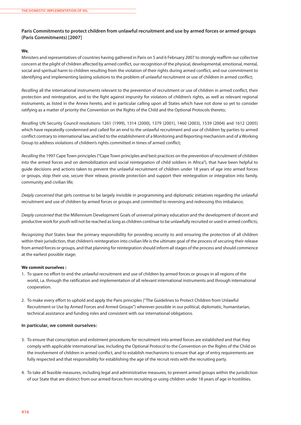# **Paris Commitments to protect children from unlawful recruitment and use by armed forces or armed groups (Paris Commitments) [2007]**

## **We**,

Ministers and representatives of countries having gathered in Paris on 5 and 6 February 2007 to strongly reaffirm our collective concern at the plight of children affected by armed conflict, our recognition of the physical, developmental, emotional, mental, social and spiritual harm to children resulting from the violation of their rights during armed conflict, and our commitment to identifying and implementing lasting solutions to the problem of unlawful recruitment or use of children in armed conflict;

*Recalling* all the international instruments relevant to the prevention of recruitment or use of children in armed conflict, their protection and reintegration, and to the fight against impunity for violators of children's rights, as well as relevant regional instruments, as listed in the Annex hereto, and in particular calling upon all States which have not done so yet to consider ratifying as a matter of priority the Convention on the Rights of the Child and the Optional Protocols thereto;

*Recalling* UN Security Council resolutions 1261 (1999), 1314 (2000), 1379 (2001), 1460 (2003), 1539 (2004) and 1612 (2005) which have repeatedly condemned and called for an end to the unlawful recruitment and use of children by parties to armed conflict contrary to international law, and led to the establishment of a Monitoring and Reporting mechanism and of a Working Group to address violations of children's rights committed in times of armed conflict;

*Recalling* the 1997 Cape Town principles ("Cape Town principles and best practices on the prevention of recruitment of children into the armed forces and on demobilization and social reintegration of child soldiers in Africa"), that have been helpful to guide decisions and actions taken to prevent the unlawful recruitment of children under 18 years of age into armed forces or groups, stop their use, secure their release, provide protection and support their reintegration or integration into family, community and civilian life;

*Deeply concerned* that girls continue to be largely invisible in programming and diplomatic initiatives regarding the unlawful recruitment and use of children by armed forces or groups and committed to reversing and redressing this imbalance;

*Deeply concerned* that the Millennium Development Goals of universal primary education and the development of decent and productive work for youth will not be reached as long as children continue to be unlawfully recruited or used in armed conflicts;

*Recognizing that* States bear the primary responsibility for providing security to and ensuring the protection of all children within their jurisdiction, that children's reintegration into civilian life is the ultimate goal of the process of securing their release from armed forces or groups, and that planning for reintegration should inform all stages of the process and should commence at the earliest possible stage;

# **We commit ourselves :**

- 1. To spare no effort to end the unlawful recruitment and use of children by armed forces or groups in all regions of the world, i.a. through the ratification and implementation of all relevant international instruments and through international cooperation.
- 2. To make every effort to uphold and apply the Paris principles ("The Guidelines to Protect Children from Unlawful Recruitment or Use by Armed Forces and Armed Groups") wherever possible in our political, diplomatic, humanitarian, technical assistance and funding roles and consistent with our international obligations.

# **In particular, we commit ourselves:**

- 3. To ensure that conscription and enlistment procedures for recruitment into armed forces are established and that they comply with applicable international law, including the Optional Protocol to the Convention on the Rights of the Child on the involvement of children in armed conflict, and to establish mechanisms to ensure that age of entry requirements are fully respected and that responsibility for establishing the age of the recruit rests with the recruiting party.
- 4. To take all feasible measures, including legal and administrative measures, to prevent armed groups within the jurisdiction of our State that are distinct from our armed forces from recruiting or using children under 18 years of age in hostilities.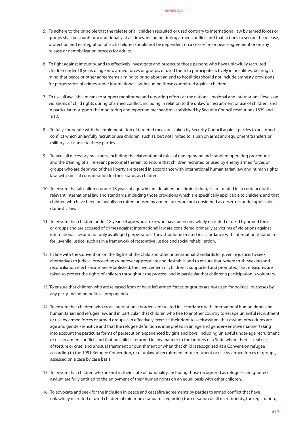**annex XVI**

- 5. To adhere to the principle that the release of all children recruited or used contrary to international law by armed forces or groups shall be sought unconditionally at all times, including during armed conflict, and that actions to secure the release, protection and reintegration of such children should not be dependent on a cease-fire or peace agreement or on any release or demobilization process for adults.
- 6. To fight against impunity, and to effectively investigate and prosecute those persons who have unlawfully recruited children under 18 years of age into armed forces or groups, or used them to participate actively in hostilities, bearing in mind that peace or other agreements aiming to bring about an end to hostilities should not include amnesty provisions for perpetrators of crimes under international law, including those committed against children.
- 7. To use all available means to support monitoring and reporting efforts at the national, regional and international levels on violations of child rights during of armed conflict, including in relation to the unlawful recruitment or use of children, and in particular to support the monitoring and reporting mechanism established by Security Council resolutions 1539 and 1612.
- 8. To fully cooperate with the implementation of targeted measures taken by Security Council against parties to an armed conflict which unlawfully recruit or use children, such as, but not limited to, a ban on arms and equipment transfers or military assistance to these parties.
- 9. To take all necessary measures, including the elaboration of rules of engagement and standard operating procedures, and the training of all relevant personnel therein, to ensure that children recruited or used by enemy armed forces or groups who are deprived of their liberty are treated in accordance with international humanitarian law and human rights law, with special consideration for their status as children.
- 10. To ensure that all children under 18 years of age who are detained on criminal charges are treated in accordance with relevant international law and standards, including those provisions which are specifically applicable to children; and that children who have been unlawfully recruited or used by armed forces are not considered as deserters under applicable domestic law.
- 11. To ensure that children under 18 years of age who are or who have been unlawfully recruited or used by armed forces or groups and are accused of crimes against international law are considered primarily as victims of violations against international law and not only as alleged perpetrators. They should be treated in accordance with international standards for juvenile justice, such as in a framework of restorative justice and social rehabilitation.
- 12. In line with the Convention on the Rights of the Child and other international standards for juvenile justice, to seek alternatives to judicial proceedings wherever appropriate and desirable, and to ensure that, where truth-seeking and reconciliation mechanisms are established, the involvement of children is supported and promoted, that measures are taken to protect the rights of children throughout the process, and in particular that children's participation is voluntary.
- 13. To ensure that children who are released from or have left armed forces or groups are not used for political purposes by any party, including political propaganda.
- 14. To ensure that children who cross international borders are treated in accordance with international human rights and humanitarian and refugee law, and in particular, that children who flee to another country to escape unlawful recruitment or use by armed forces or armed groups can effectively exercise their right to seek asylum, that asylum procedures are age and gender-sensitive and that the refugee definition is interpreted in an age and gender-sensitive manner taking into account the particular forms of persecution experienced by girls and boys, including unlawful under-age recruitment or use in armed conflict, and that no child is returned in any manner to the borders of a State where there is real risk of torture or cruel and unusual treatment or punishment or when that child is recognized as a Convention refugee according to the 1951 Refugee Convention, or of unlawful recruitment, re-recruitment or use by armed forces or groups, assessed on a case by case basis.
- 15. To ensure that children who are not in their state of nationality, including those recognized as refugees and granted asylum are fully entitled to the enjoyment of their human rights on an equal basis with other children.
- 16. To advocate and seek for the inclusion in peace and ceasefire agreements by parties to armed conflict that have unlawfully recruited or used children of minimum standards regarding the cessation of all recruitments, the registration,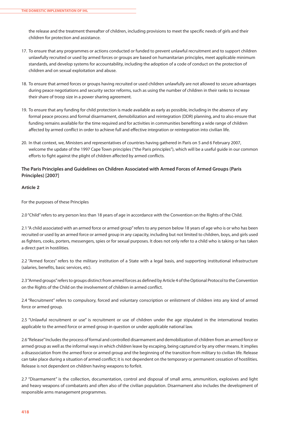the release and the treatment thereafter of children, including provisions to meet the specific needs of girls and their children for protection and assistance.

- 17. To ensure that any programmes or actions conducted or funded to prevent unlawful recruitment and to support children unlawfully recruited or used by armed forces or groups are based on humanitarian principles, meet applicable minimum standards, and develop systems for accountability, including the adoption of a code of conduct on the protection of children and on sexual exploitation and abuse.
- 18. To ensure that armed forces or groups having recruited or used children unlawfully are not allowed to secure advantages during peace negotiations and security sector reforms, such as using the number of children in their ranks to increase their share of troop size in a power sharing agreement.
- 19. To ensure that any funding for child protection is made available as early as possible, including in the absence of any formal peace process and formal disarmament, demobilization and reintegration (DDR) planning, and to also ensure that funding remains available for the time required and for activities in communities benefiting a wide range of children affected by armed conflict in order to achieve full and effective integration or reintegration into civilian life.
- 20. In that context, we, Ministers and representatives of countries having gathered in Paris on 5 and 6 February 2007, welcome the update of the 1997 Cape Town principles ("the Paris principles"), which will be a useful guide in our common efforts to fight against the plight of children affected by armed conflicts.

# **The Paris Principles and Guidelines on Children Associated with Armed Forces of Armed Groups (Paris Principles) [2007]**

# **Article 2**

For the purposes of these Principles

2.0 "Child" refers to any person less than 18 years of age in accordance with the Convention on the Rights of the Child.

2.1 "A child associated with an armed force or armed group" refers to any person below 18 years of age who is or who has been recruited or used by an armed force or armed group in any capacity, including but not limited to children, boys, and girls used as fighters, cooks, porters, messengers, spies or for sexual purposes. It does not only refer to a child who is taking or has taken a direct part in hostilities.

2.2 "Armed forces" refers to the military institution of a State with a legal basis, and supporting institutional infrastructure (salaries, benefits, basic services, etc).

2.3 "Armed groups" refers to groups distinct from armed forces as defined by Article 4 of the Optional Protocol to the Convention on the Rights of the Child on the involvement of children in armed conflict.

2.4 "Recruitment" refers to compulsory, forced and voluntary conscription or enlistment of children into any kind of armed force or armed group.

2.5 "Unlawful recruitment or use" is recruitment or use of children under the age stipulated in the international treaties applicable to the armed force or armed group in question or under applicable national law.

2.6 "Release" Includes the process of formal and controlled disarmament and demobilization of children from an armed force or armed group as well as the informal ways in which children leave by escaping, being captured or by any other means. It implies a disassociation from the armed force or armed group and the beginning of the transition from military to civilian life. Release can take place during a situation of armed conflict; it is not dependent on the temporary or permanent cessation of hostilities. Release is not dependent on children having weapons to forfeit.

2.7 "Disarmament" is the collection, documentation, control and disposal of small arms, ammunition, explosives and light and heavy weapons of combatants and often also of the civilian population. Disarmament also includes the development of responsible arms management programmes.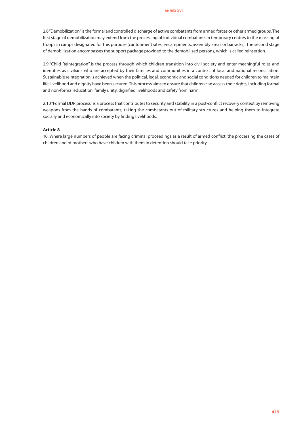2.8 "Demobilization" is the formal and controlled discharge of active combatants from armed forces or other armed groups. The first stage of demobilization may extend from the processing of individual combatants in temporary centres to the massing of troops in camps designated for this purpose (cantonment sites, encampments, assembly areas or barracks). The second stage of demobilization encompasses the support package provided to the demobilized persons, which is called reinsertion.

2.9 "Child Reintegration" is the process through which children transition into civil society and enter meaningful roles and identities as civilians who are accepted by their families and communities in a context of local and national reconciliation. Sustainable reintegration is achieved when the political, legal, economic and social conditions needed for children to maintain life, livelihood and dignity have been secured. This process aims to ensure that children can access their rights, including formal and non-formal education, family unity, dignified livelihoods and safety from harm.

2.10 "Formal DDR process" is a process that contributes to security and stability in a post-conflict recovery context by removing weapons from the hands of combatants, taking the combatants out of military structures and helping them to integrate socially and economically into society by finding livelihoods.

# **Article 8**

10. Where large numbers of people are facing criminal proceedings as a result of armed conflict, the processing the cases of children and of mothers who have children with them in detention should take priority.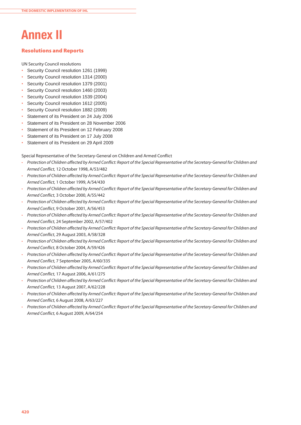# **Annex II**

# Resolutions and Reports

UN Security Council resolutions

- Security Council resolution 1261 (1999)
- Security Council resolution 1314 (2000)
- Security Council resolution 1379 (2001)
- Security Council resolution 1460 (2003)
- Security Council resolution 1539 (2004)
- Security Council resolution 1612 (2005)
- Security Council resolution 1882 (2009)
- Statement of its President on 24 July 2006
- Statement of its President on 28 November 2006
- Statement of its President on 12 February 2008
- Statement of its President on 17 July 2008
- • Statement of its President on 29 April 2009

Special Representative of the Secretary-General on Children and Armed Conflict

- Protection of Children affected by Armed Conflict: Report of the Special Representative of the Secretary-General for Children and *Armed Conflict,* 12 October 1998, A/53/482
- Protection of Children affected by Armed Conflict: Report of the Special Representative of the Secretary-General for Children and *Armed Conflict,* 1 October 1999, A/54/430
- Protection of Children affected by Armed Conflict: Report of the Special Representative of the Secretary-General for Children and *Armed Conflict,* 3 October 2000, A/55/442
- Protection of Children affected by Armed Conflict: Report of the Special Representative of the Secretary-General for Children and *Armed Conflict*, 9 October 2001, A/56/453
- Protection of Children affected by Armed Conflict: Report of the Special Representative of the Secretary-General for Children and *Armed Conflict,* 24 September 2002, A/57/402
- Protection of Children affected by Armed Conflict: Report of the Special Representative of the Secretary-General for Children and *Armed Conflict*, 29 August 2003, A/58/328
- Protection of Children affected by Armed Conflict: Report of the Special Representative of the Secretary-General for Children and *Armed Conflict,* 8 October 2004, A/59/426
- Protection of Children affected by Armed Conflict: Report of the Special Representative of the Secretary-General for Children and *Armed Conflict,* 7 September 2005, A/60/335
- Protection of Children affected by Armed Conflict: Report of the Special Representative of the Secretary-General for Children and *Armed Conflict,* 17 August 2006, A/61/275
- Protection of Children affected by Armed Conflict: Report of the Special Representative of the Secretary-General for Children and *Armed Conflict,* 13 August 2007, A/62/228
- Protection of Children affected by Armed Conflict: Report of the Special Representative of the Secretary-General for Children and *Armed Conflict,* 6 August 2008, A/63/227
- Protection of Children affected by Armed Conflict: Report of the Special Representative of the Secretary-General for Children and *Armed Conflict,* 6 August 2009, A/64/254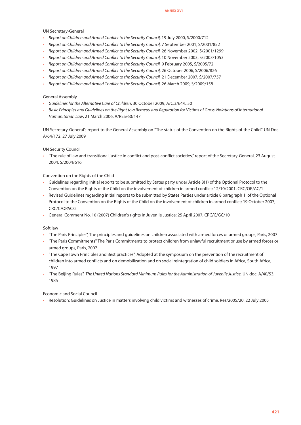UN Secretary-General

- • *Report on Children and Armed Conflict to the Security Council,* 19 July 2000, S/2000/712
- • *Report on Children and Armed Conflict to the Security Council,* 7 September 2001, S/2001/852
- • *Report on Children and Armed Conflict to the Security Council,* 26 November 2002, S/2001/1299
- • *Report on Children and Armed Conflict to the Security Council,* 10 November 2003, S/2003/1053
- • *Report on Children and Armed Conflict to the Security Council,* 9 February 2005, S/2005/72
- • *Report on Children and Armed Conflict to the Security Council,* 26 October 2006, S/2006/826
- • *Report on Children and Armed Conflict to the Security Council,* 21 December 2007, S/2007/757
- • *Report on Children and Armed Conflict to the Security Council,* 26 March 2009, S/2009/158

# General Assembly

- • *Guidelines for the Alternative Care of Children*, 30 October 2009, A/C.3/64/L.50
- • *Basic Principles and Guidelines on the Right to a Remedy and Reparation for Victims of Gross Violations of International Humanitarian Law*, 21 March 2006, A/RES/60/147

UN Secretary-General's report to the General Assembly on "The status of the Convention on the Rights of the Child," UN Doc. A/64/172, 27 July 2009

## UN Security Council

• "The rule of law and transitional justice in conflict and post-conflict societies," report of the Secretary-General, 23 August 2004, S/2004/616

## Convention on the Rights of the Child

- Guidelines regarding initial reports to be submitted by States party under Article 8(1) of the Optional Protocol to the Convention on the Rights of the Child on the involvement of children in armed conflict: 12/10/2001, CRC/OP/AC/1
- Revised Guidelines regarding initial reports to be submitted by States Parties under article 8 paragraph 1, of the Optional Protocol to the Convention on the Rights of the Child on the involvement of children in armed conflict: 19 October 2007, CRC/C/OPAC/2
- General Comment No. 10 (2007) Children's rights in Juvenile Justice: 25 April 2007, CRC/C/GC/10

## Soft law

- "The Paris Principles", The principles and guidelines on children associated with armed forces or armed groups, Paris, 2007
- "The Paris Commitments" The Paris Commitments to protect children from unlawful recruitment or use by armed forces or armed groups, Paris, 2007
- "The Cape Town Principles and Best practices", Adopted at the symposium on the prevention of the recruitment of children into armed conflicts and on demobilization and on social reintegration of child soldiers in Africa, South Africa, 1997
- • "The Beijing Rules", *The United Nations Standard Minimum Rules for the Administration of Juvenile Justice*, UN doc. A/40/53, 1985

## Economic and Social Council

Resolution: Guidelines on Justice in matters involving child victims and witnesses of crime, Res/2005/20, 22 July 2005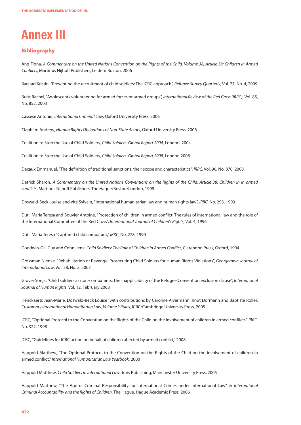# **Annex III**

# Bibliography

Ang Fiona, *A Commentary on the United Nations Convention on the Rights of the Child, Volume 38, Article 38: Children in Armed Conflicts*, Martinus Nijhoff Publishers, Leiden/ Boston, 2006

Barstad Kristin, "Preventing the recruitment of child soldiers: The ICRC approach", *Refugee Survey Quarterly*, Vol. 27, No. 4, 2009

Brett Rachel, "Adolescents volunteering for armed forces or armed groups", *International Review of the Red Cross (IRRC)*, Vol. 85, No. 852, 2003

Cassese Antonio, *International Criminal Law*, Oxford University Press, 2006

Clapham Andrew, *Human Rights Obligations of Non-State Actors*, Oxford University Press, 2006

Coalition to Stop the Use of Child Soldiers, *Child Soldiers: Global Report 2004*, London, 2004

Coalition to Stop the Use of Child Soldiers, *Child Soldiers: Global Report 2008*, London 2008

Decaux Emmanuel, "The definition of traditional sanctions: their scope and characteristics*"*, *IRRC,* Vol. 90, No. 870, 2008

Detrick Sharon, *A Commentary on the United Nations Conventions on the Rights of the Child, Article 38: Children in in armed conflicts*, Martinus Nijhoff Publishers, The Hague/Boston/London, 1999

Doswald-Beck Louise and Vité Sylvain, "International humanitarian law and human rights law", *IRRC*, No. 293, 1993

Dutli Maria Teresa and Bouvier Antoine, "Protection of children in armed conflict: The rules of international law and the role of the International Committee of the Red Cross", *International Journal of Children's Rights,* Vol. 4, 1996

Dutli Maria Teresa "Captured child combatant," *IRRC*, No. 278, 1990

Goodwin-Gill Guy and Cohn Ilene, *Child Soldiers: The Role of Children in Armed Conflict*, Clarendon Press, Oxford, 1994

Grossman Nienke, "Rehabilitation or Revenge: Prosecuting Child Soldiers for Human Rights Violations", *Georgetown Journal of International Law*, Vol. 38, No. 2, 2007

Grover Sonja, "Child soldiers as non-combatants: The inapplicability of the Refugee Convention exclusion clause", *International Journal of Human Rights*, Vol. 12, February 2008

Henckaerts Jean-Marie, Doswald-Beck Louise (with contributions by Caroline Alvermann, Knut Dörmann and Baptiste Rolle), *Customary International Humanitarian Law, Volume I: Rules*, ICRC/Cambridge University Press, 2005

ICRC, "Optional Protocol to the Convention on the Rights of the Child on the involvement of children in armed conflicts," *IRRC,* No. 322, 1998

ICRC, "Guidelines for ICRC action on behalf of children affected by armed conflict," 2008

Happold Matthew, "The Optional Protocol to the Convention on the Rights of the Child on the involvement of children in armed conflict," *International Humanitarian Law Yearbook*, 2000

Happold Matthew, *Child Soldiers in International Law*, Juris Publishing, Manchester University Press, 2005

Happold Matthew, "The Age of Criminal Responsibility for International Crimes under International Law" in *International Criminal Accountability and the Rights of Children*, The Hague, Hague Academic Press, 2006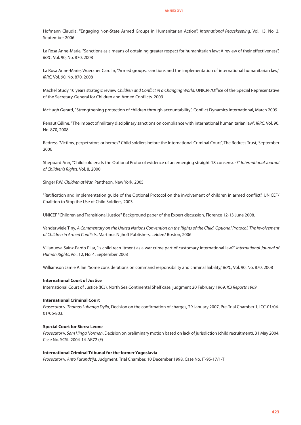Hofmann Claudia, "Engaging Non-State Armed Groups in Humanitarian Action", *International Peacekeeping*, Vol. 13, No. 3, September 2006

La Rosa Anne-Marie, "Sanctions as a means of obtaining greater respect for humanitarian law: A review of their effectiveness", *IRRC*. Vol. 90, No. 870, 2008

La Rosa Anne-Marie, Wuerzner Carolin, "Armed groups, sanctions and the implementation of international humanitarian law," *IRRC*, Vol. 90, No. 870, 2008

Machel Study 10 years strategic review *Children and Conflict in a Changing World*, UNICRF/Office of the Special Representative of the Secretary-General for Children and Armed Conflicts, 2009

McHugh Gerard, "Strengthening protection of children through accountability", Conflict Dynamics International, March 2009

Renaut Céline, "The impact of military disciplinary sanctions on compliance with international humanitarian law", *IRRC*, Vol. 90, No. 870, 2008

Redress "Victims, perpetrators or heroes? Child soldiers before the International Criminal Court", The Redress Trust, September 2006

Sheppard Ann, "Child soldiers: Is the Optional Protocol evidence of an emerging straight-18 consensus?" *International Journal of Children's Rights*, Vol. 8, 2000

Singer P.W, *Children at War*, Pantheon, New York, 2005

"Ratification and implementation guide of the Optional Protocol on the involvement of children in armed conflict", UNICEF/ Coalition to Stop the Use of Child Soldiers, 2003

UNICEF "Children and Transitional Justice" Background paper of the Expert discussion, Florence 12-13 June 2008.

Vanderwiele Tiny, *A Commentary on the United Nations Convention on the Rights of the Child. Optional Protocol. The Involvement of Children in Armed Conflicts*, Martinus Nijhoff Publishers, Leiden/ Boston, 2006

Villanueva Sainz-Pardo Pilar, "Is child recruitment as a war crime part of customary international law?" *International Journal of Human Rights*, Vol. 12, No. 4, September 2008

Williamson Jamie Allan "Some considerations on command responsibility and criminal liability," *IRRC,* Vol. 90, No. 870, 2008

#### **International Court of Justice**

International Court of Justice (ICJ), North Sea Continental Shelf case, judgment 20 February 1969, *ICJ Reports 1969*

# **International Criminal Court**

*Prosecutor* v. *Thomas Lubanga Dyilo*, Decision on the confirmation of charges, 29 January 2007, Pre-Trial Chamber 1, ICC-01/04- 01/06-803.

#### **Special Court for Sierra Leone**

*Prosecutor* v. *Sam Hinga Norman*. Decision on preliminary motion based on lack of jurisdiction (child recruitment), 31 May 2004, Case No. SCSL-2004-14-AR72 (E)

#### **International Criminal Tribunal for the former Yugoslavia**

*Prosecutor* v. *Anto Furundzija*, Judgment, Trial Chamber, 10 December 1998, Case No. IT-95-17/1-T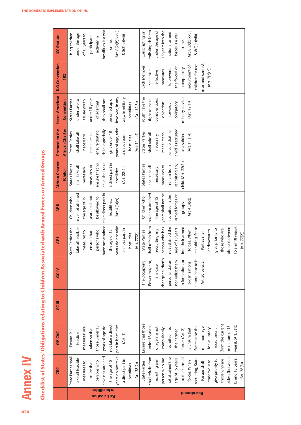**Checklist of States' Obligations relating to Children Associated with Armed Forces or Armed Groups** Checklist of States' Obligations relating to Children Associated with Armed Forces or Armed Groups

| <b>CRC</b>                               | Ensure"all<br>OP-CAC | GC III |                    | GC IV                                   | State Parties shall<br><b>API</b> | Children who<br><b>APII</b>        | <b>African Charter</b><br><b>States Parties</b><br>(Child) | Protocol to the<br>African Charter      | <b>Ibero-American</b><br>Convention   | <b>ILO Convention</b><br><b>182</b> |
|------------------------------------------|----------------------|--------|--------------------|-----------------------------------------|-----------------------------------|------------------------------------|------------------------------------------------------------|-----------------------------------------|---------------------------------------|-------------------------------------|
| State Parties shall<br>take all feasible | feasible             |        |                    |                                         |                                   |                                    | shall take all                                             | <b>States Parties</b><br>shall take all | <b>States Parties</b><br>undertake to |                                     |
| measures to                              | measures" are        |        |                    | ake all feasible<br>measures to         |                                   | have not attained<br>the age of 15 | necessary                                                  | necessary                               | assure youth                          |                                     |
| ensure that                              | taken so that        |        |                    | ensure that                             |                                   | years shall not                    | measures to                                                | measures to                             | under 18 years                        |                                     |
| persons who                              | those under 18       |        |                    | persons who                             |                                   | be allowed to                      | ensure that no                                             | ensure that no                          | of age that                           |                                     |
| have not attained                        | years of age do      |        |                    | have not attained   take direct part in |                                   |                                    | child shall take                                           | child, especially                       | they shall not                        |                                     |
| the age of 15                            | not take a direct    |        |                    | the age of 15                           |                                   | hostilities.                       | a direct part in                                           | girls under 18                          | be called up or                       |                                     |
| years do not take                        | part in hostilities. |        |                    | years do not take                       |                                   | (Art. 4(3)(c))                     | hostilities.                                               | years of age, take                      | involved, in any                      |                                     |
| a direct part in                         | (Art. 1)             |        |                    | a direct part in                        |                                   |                                    | (Art. 22(2))                                               | a direct part in                        | way, in military                      |                                     |
| hostilities.                             |                      |        |                    | hostilities.                            |                                   |                                    |                                                            | hostilities.                            | hostilities.                          |                                     |
| (Art. 38(2))                             |                      |        |                    | (Art. 77(2))                            |                                   |                                    |                                                            | (Art. 11 al.4)                          | (Art. 12(3))                          |                                     |
| <b>State Parties</b>                     | Ensure that those    |        | The Occupying      | <b>State Parties</b>                    | Children who                      |                                    | <b>States Parties</b>                                      | <b>States Parties</b>                   | Youth have the                        | Each Member                         |
| shall refrain from                       | under 18 years       |        | Power may not,     | hall refrain from<br>S                  | have not attained                 |                                    | shall take all                                             | shall take all                          | right to make                         | shall take                          |
| recruiting any                           | of age are not       |        | in any case,       | recruiting any                          | the age of 15                     |                                    | necessary                                                  | necessary                               | conscientious                         | effective                           |
| person who has                           | compulsorily         |        | change children's  | berson who has                          | years shall not be                |                                    | measures to                                                | measures to                             | objection                             | measures                            |
| not attained the                         | recruited into       |        | personal status,   | not attained the                        | recruited in the                  |                                    | refrain from                                               | ensure that no                          | towards                               | to prevent                          |
| age of 15 years                          | their armed          |        | nor enlist them    | age of 15 years                         | armed forces or                   |                                    | recruiting any                                             | child is recruited                      | obligatory                            | the forced or                       |
| into their armed                         | forces (Art. 2).     |        | in formations or   | into their armed                        | groups.                           |                                    | child. (Art. 22(2))                                        | as a soldier.                           | military service.                     | compulsory                          |
| forces. When                             | / Ensure that        |        | organizations      | forces. When                            | (Art. 4(3)(c))                    |                                    |                                                            | (Art. 11 al.4)                          | (Art. 12(1))                          | recruitment of                      |
| recruiting, State                        | States raise the     |        | subordinate to it. | ecruiting, State                        |                                   |                                    |                                                            |                                         |                                       | children for use                    |
| Parties shall                            | minimum age          |        | (Art. 50 para. 2)  | Parties shall                           |                                   |                                    |                                                            |                                         |                                       | in armed conflict.                  |
| endeavour to                             | for voluntary        |        |                    | endeavour to                            |                                   |                                    |                                                            |                                         |                                       | (Art. 7(2)(a))                      |
| give priority to                         | recruitment          |        |                    | give priority to                        |                                   |                                    |                                                            |                                         |                                       |                                     |
| those who are                            | (from the current    |        |                    | those who are                           |                                   |                                    |                                                            |                                         |                                       |                                     |
| oldest (between                          | minimum of 15        |        |                    | oldest (between                         |                                   |                                    |                                                            |                                         |                                       |                                     |
| 15 and 18 years).                        | years). (Art. 3(1))  |        |                    | 15 and 18 years).                       |                                   |                                    |                                                            |                                         |                                       |                                     |
| (Art. 38(3))                             |                      |        |                    | (Art. 77(2))                            |                                   |                                    |                                                            |                                         |                                       |                                     |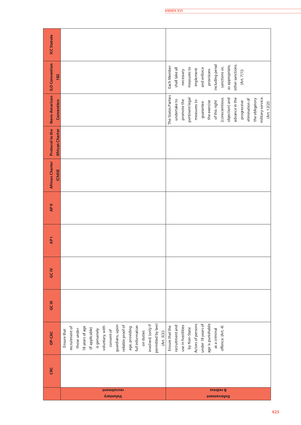| <b>ICC</b> Statute                        |                                                                                                                                                                                                                                                                                          |                                                                                                                                                                                                                                                                                 |
|-------------------------------------------|------------------------------------------------------------------------------------------------------------------------------------------------------------------------------------------------------------------------------------------------------------------------------------------|---------------------------------------------------------------------------------------------------------------------------------------------------------------------------------------------------------------------------------------------------------------------------------|
| <b>ILO Convention</b><br>182              |                                                                                                                                                                                                                                                                                          | other sanctions.<br>including penal<br>as appropriate,<br>Each Member<br>sanctions or,<br>shall take all<br>measures to<br>and enforce<br>implement<br>provisions<br>necessary<br>(Art. 7(1))                                                                                   |
| <b>Ibero-American</b><br>Convention       |                                                                                                                                                                                                                                                                                          | The States Parties<br>military service.<br>[conscientious<br>advance in the<br>pertinent legal<br>objection] and<br>the obligatory<br>elimination of<br>undertake to<br>promote the<br>measures to<br>the exercise<br>of this right<br>progressive<br>guarantee<br>(Art. 12(2)) |
| <b>African Charter</b><br>Protocol to the |                                                                                                                                                                                                                                                                                          |                                                                                                                                                                                                                                                                                 |
| <b>African Charter</b><br>(Child)         |                                                                                                                                                                                                                                                                                          |                                                                                                                                                                                                                                                                                 |
| <b>APII</b>                               |                                                                                                                                                                                                                                                                                          |                                                                                                                                                                                                                                                                                 |
| <b>API</b>                                |                                                                                                                                                                                                                                                                                          |                                                                                                                                                                                                                                                                                 |
| <b>GCIV</b>                               |                                                                                                                                                                                                                                                                                          |                                                                                                                                                                                                                                                                                 |
| GCIII                                     |                                                                                                                                                                                                                                                                                          |                                                                                                                                                                                                                                                                                 |
| OP-CAC                                    | permitted by law)<br>involved. (only if<br>guardians, upon<br>reliable proof of<br>full information<br>18 years of age<br>voluntary, with<br>recruitment of<br>age, providing<br>(if applicable)<br>those under<br>is genuinely<br>Ensure that<br>consent of<br>on duties<br>(Art. 3(3)) | Actors of persons<br>age is punishable<br>under 18 years of<br>recruitment and<br>use in hostilities<br>Ensure that the<br>offence. (Art. 4)<br>by Non-State<br>as a criminal                                                                                                   |
| CRC                                       |                                                                                                                                                                                                                                                                                          |                                                                                                                                                                                                                                                                                 |
|                                           | recruitment<br><b>Voluntary</b>                                                                                                                                                                                                                                                          | & redress<br>Enforcement                                                                                                                                                                                                                                                        |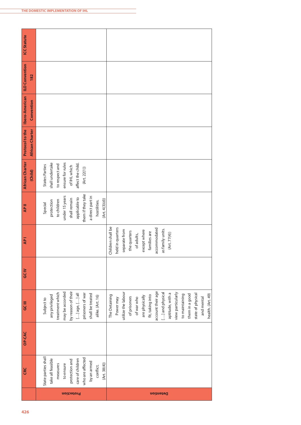| <b>ICC</b> Statute                  |                                                                                                                                                                         |                                                                                                                                                                                                                                                                                                   |
|-------------------------------------|-------------------------------------------------------------------------------------------------------------------------------------------------------------------------|---------------------------------------------------------------------------------------------------------------------------------------------------------------------------------------------------------------------------------------------------------------------------------------------------|
| <b>ILO Convention</b><br>182        |                                                                                                                                                                         |                                                                                                                                                                                                                                                                                                   |
| <b>Ibero-American</b><br>Convention |                                                                                                                                                                         |                                                                                                                                                                                                                                                                                                   |
| Protocol to the<br>African Charter  |                                                                                                                                                                         |                                                                                                                                                                                                                                                                                                   |
| African Charter<br>(Child)          | shall undertake<br>ensure for rules<br>affect the child.<br>to respect and<br><b>States Parties</b><br>of IHL which<br>(Art. 22(1))                                     |                                                                                                                                                                                                                                                                                                   |
| <b>APII</b>                         | them if they take<br>a direct part in<br>under 15 years<br>applicable to<br>shall remain<br>(Art. 4(3)(d))<br>to children<br>protection<br>hostilities.<br>Special      |                                                                                                                                                                                                                                                                                                   |
| <b>AP</b> <sub>1</sub>              |                                                                                                                                                                         | Children shall be<br>held in quarters<br>accommodated<br>as family units.<br>separate from<br>except where<br>the quarters<br>families are<br>(Art. 77(4))<br>of adults,                                                                                                                          |
| <b>GCIV</b>                         |                                                                                                                                                                         |                                                                                                                                                                                                                                                                                                   |
| GC III                              | by reason of their<br>[] age, [] all<br>may be accorded<br>treatment which<br>prisoners of war<br>shall be treated<br>any privileged<br>alike. (Art. 16)<br>Subject to  | account their age<br>[] and physical<br>view particularly<br>utilize the labour<br>aptitude, with a<br>them in a good<br>state of physical<br>to maintaining<br>health. (Art. 49)<br>The Detaining<br>fit, taking into<br>are physically<br>of prisoners<br>and mental<br>of war who<br>Power may |
| <b>OP-CAC</b>                       |                                                                                                                                                                         |                                                                                                                                                                                                                                                                                                   |
| <b>CRC</b>                          | State parties shall<br>who are affected<br>take all feasible<br>care of children<br>protection and<br>by an armed<br>(Art. 38(4))<br>measures<br>to ensure<br>conflict. |                                                                                                                                                                                                                                                                                                   |
|                                     | Protection                                                                                                                                                              | Detention                                                                                                                                                                                                                                                                                         |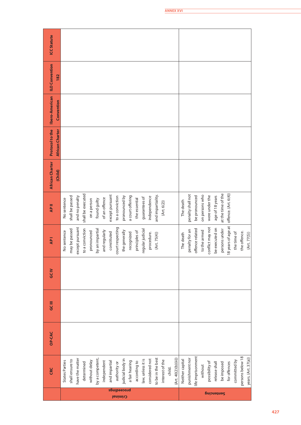| <b>ICC</b> Statute                        |                                                                                                                                                                                                                                                                                                                                     |                                                                                                                                                                                               |
|-------------------------------------------|-------------------------------------------------------------------------------------------------------------------------------------------------------------------------------------------------------------------------------------------------------------------------------------------------------------------------------------|-----------------------------------------------------------------------------------------------------------------------------------------------------------------------------------------------|
| <b>ILO Convention</b><br>182              |                                                                                                                                                                                                                                                                                                                                     |                                                                                                                                                                                               |
| <b>Ibero-American</b><br>Convention       |                                                                                                                                                                                                                                                                                                                                     |                                                                                                                                                                                               |
| Protocol to the<br><b>African Charter</b> |                                                                                                                                                                                                                                                                                                                                     |                                                                                                                                                                                               |
| African Charter<br>(Child)                |                                                                                                                                                                                                                                                                                                                                     |                                                                                                                                                                                               |
| <b>APII</b>                               | shall be executed<br>except pursuant<br>and impartiality.<br>shall be passed<br>and no penalty<br>a court offering<br>to a conviction<br>pronounced by<br>independence<br>guarantees of<br>of an offence<br>the essential<br>No sentence<br>found guilty<br>on a person<br>(Art. 6(2))                                              | at the time of the<br>offence. (Art. 6(4))<br>penalty shall not<br>on persons who<br>be pronounced<br>were under the<br>age of 18 years<br>The death                                          |
| <b>API</b>                                | except pursuant<br>court respecting<br>may be passed<br>to a conviction<br>by an impartial<br>regular judicial<br>and regularly<br>principles of<br>No sentence<br>the generally<br>pronounced<br>constituted<br>recognized<br>procedure.<br>(Art. 75(4))                                                                           | 8 years of age at<br>conflict may not<br>be executed on<br>offence related<br>persons under<br>penalty for an<br>to the armed<br>the offence.<br>the time of<br>The death<br>(Art. 77(5))     |
| <b>GCIV</b>                               |                                                                                                                                                                                                                                                                                                                                     |                                                                                                                                                                                               |
| GCIII                                     |                                                                                                                                                                                                                                                                                                                                     |                                                                                                                                                                                               |
| <b>OP-CAC</b>                             |                                                                                                                                                                                                                                                                                                                                     |                                                                                                                                                                                               |
| CRC                                       | to be in the best<br>by a competent,<br>(Art.40(2)(b)(iii))<br>have the matter<br>considered not<br>judicial body in<br>law, unless it is<br>shall ensure to<br>interest of the<br>without delay<br><b>States Parties</b><br>a fair hearing<br>independent<br>and impartial<br>according to<br>determined<br>authority or<br>child. | persons below 18<br>life imprisonment<br>punishment nor<br>years. (Art. 37(a))<br>Neither capital<br>committed by<br>possibility of<br>for offences<br>release shall<br>be imposed<br>without |
|                                           | htoceedings<br><b>Criminal</b>                                                                                                                                                                                                                                                                                                      | Sentencing                                                                                                                                                                                    |

**ANNEX XVI**